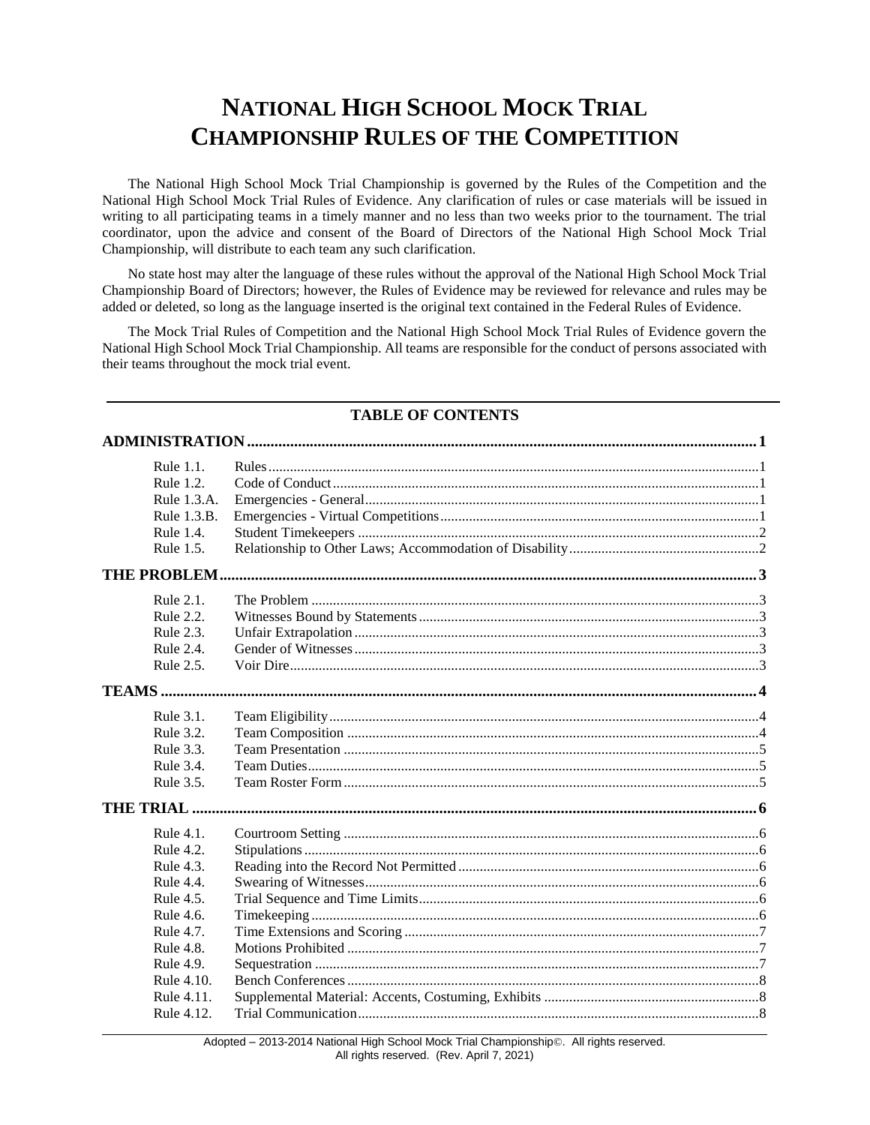# **NATIONAL HIGH SCHOOL MOCK TRIAL CHAMPIONSHIP RULES OF THE COMPETITION**

The National High School Mock Trial Championship is governed by the Rules of the Competition and the National High School Mock Trial Rules of Evidence. Any clarification of rules or case materials will be issued in writing to all participating teams in a timely manner and no less than two weeks prior to the tournament. The trial coordinator, upon the advice and consent of the Board of Directors of the National High School Mock Trial Championship, will distribute to each team any such clarification.

No state host may alter the language of these rules without the approval of the National High School Mock Trial Championship Board of Directors; however, the Rules of Evidence may be reviewed for relevance and rules may be added or deleted, so long as the language inserted is the original text contained in the Federal Rules of Evidence.

The Mock Trial Rules of Competition and the National High School Mock Trial Rules of Evidence govern the National High School Mock Trial Championship. All teams are responsible for the conduct of persons associated with their teams throughout the mock trial event.

# **TABLE OF CONTENTS**

| Rule 1.1.        |  |
|------------------|--|
| Rule 1.2.        |  |
| Rule 1.3.A.      |  |
| Rule 1.3.B.      |  |
| Rule 1.4.        |  |
| Rule 1.5.        |  |
|                  |  |
| Rule 2.1.        |  |
| Rule 2.2.        |  |
| Rule 2.3.        |  |
| Rule 2.4.        |  |
| Rule 2.5.        |  |
|                  |  |
| Rule 3.1.        |  |
| Rule 3.2.        |  |
| Rule 3.3.        |  |
| Rule 3.4.        |  |
| Rule 3.5.        |  |
| <b>THE TRIAL</b> |  |
| Rule 4.1.        |  |
| Rule 4.2.        |  |
| Rule 4.3.        |  |
| Rule 4.4.        |  |
| Rule 4.5.        |  |
| Rule 4.6.        |  |
| Rule 4.7.        |  |
| Rule 4.8.        |  |
| Rule 4.9.        |  |
| Rule 4.10.       |  |
| Rule 4.11.       |  |
| Rule 4.12.       |  |

Adopted – 2013-2014 National High School Mock Trial Championship©. All rights reserved. All rights reserved. (Rev. April 7, 2021)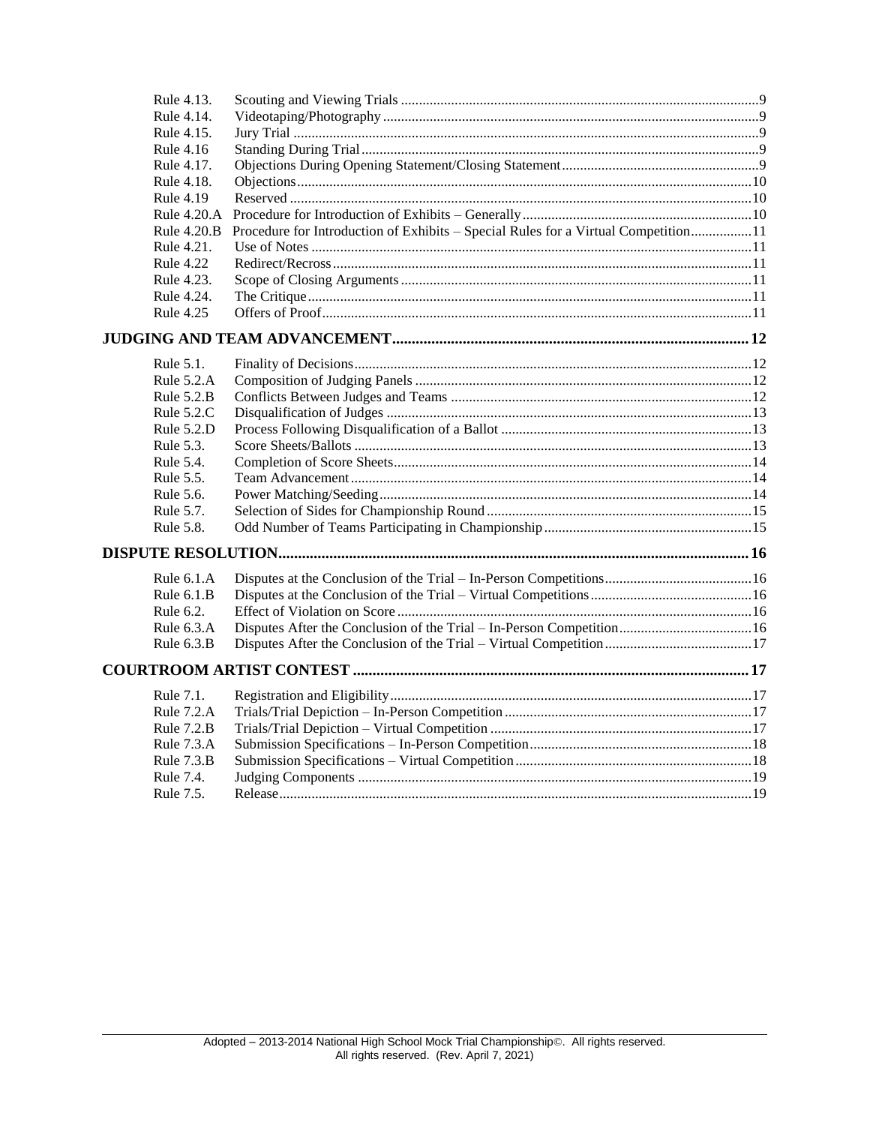| Rule 4.13.       |                                                                                    |  |
|------------------|------------------------------------------------------------------------------------|--|
| Rule 4.14.       |                                                                                    |  |
| Rule 4.15.       |                                                                                    |  |
| Rule 4.16        |                                                                                    |  |
| Rule 4.17.       |                                                                                    |  |
| Rule 4.18.       |                                                                                    |  |
| Rule 4.19        |                                                                                    |  |
| Rule 4.20.A      |                                                                                    |  |
| Rule 4.20.B      | Procedure for Introduction of Exhibits – Special Rules for a Virtual Competition11 |  |
| Rule 4.21.       |                                                                                    |  |
| <b>Rule 4.22</b> |                                                                                    |  |
| Rule 4.23.       |                                                                                    |  |
| Rule 4.24.       |                                                                                    |  |
| <b>Rule 4.25</b> |                                                                                    |  |
|                  |                                                                                    |  |
| Rule 5.1.        |                                                                                    |  |
| Rule 5.2.A       |                                                                                    |  |
| Rule $5.2.B$     |                                                                                    |  |
| Rule $5.2.C$     |                                                                                    |  |
| Rule 5.2.D       |                                                                                    |  |
| Rule 5.3.        |                                                                                    |  |
| Rule 5.4.        |                                                                                    |  |
| Rule 5.5.        |                                                                                    |  |
| Rule 5.6.        |                                                                                    |  |
| Rule 5.7.        |                                                                                    |  |
| Rule 5.8.        |                                                                                    |  |
|                  |                                                                                    |  |
| Rule $6.1.A$     |                                                                                    |  |
| Rule $6.1.B$     |                                                                                    |  |
| Rule 6.2.        |                                                                                    |  |
| Rule 6.3.A       |                                                                                    |  |
| Rule $6.3.B$     |                                                                                    |  |
|                  |                                                                                    |  |
| Rule 7.1.        |                                                                                    |  |
| Rule 7.2.A       |                                                                                    |  |
| Rule 7.2.B       |                                                                                    |  |
| Rule $7.3.A$     |                                                                                    |  |
| Rule 7.3.B       |                                                                                    |  |
| Rule 7.4.        |                                                                                    |  |
| Rule 7.5.        |                                                                                    |  |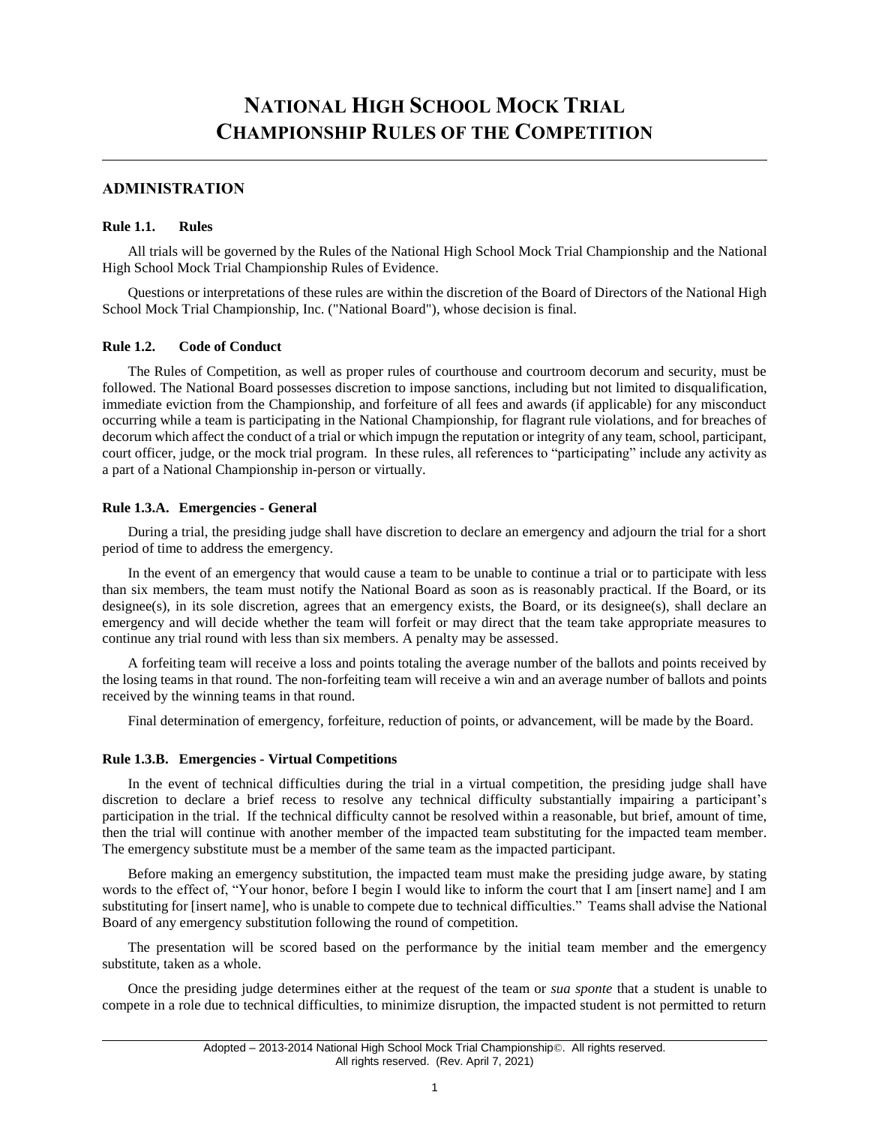# <span id="page-2-0"></span>**ADMINISTRATION**

#### <span id="page-2-1"></span>**Rule 1.1. Rules**

All trials will be governed by the Rules of the National High School Mock Trial Championship and the National High School Mock Trial Championship Rules of Evidence.

Questions or interpretations of these rules are within the discretion of the Board of Directors of the National High School Mock Trial Championship, Inc. ("National Board"), whose decision is final.

#### <span id="page-2-2"></span>**Rule 1.2. Code of Conduct**

The Rules of Competition, as well as proper rules of courthouse and courtroom decorum and security, must be followed. The National Board possesses discretion to impose sanctions, including but not limited to disqualification, immediate eviction from the Championship, and forfeiture of all fees and awards (if applicable) for any misconduct occurring while a team is participating in the National Championship, for flagrant rule violations, and for breaches of decorum which affect the conduct of a trial or which impugn the reputation or integrity of any team, school, participant, court officer, judge, or the mock trial program. In these rules, all references to "participating" include any activity as a part of a National Championship in-person or virtually.

#### <span id="page-2-3"></span>**Rule 1.3.A. Emergencies - General**

During a trial, the presiding judge shall have discretion to declare an emergency and adjourn the trial for a short period of time to address the emergency.

In the event of an emergency that would cause a team to be unable to continue a trial or to participate with less than six members, the team must notify the National Board as soon as is reasonably practical. If the Board, or its designee(s), in its sole discretion, agrees that an emergency exists, the Board, or its designee(s), shall declare an emergency and will decide whether the team will forfeit or may direct that the team take appropriate measures to continue any trial round with less than six members. A penalty may be assessed.

A forfeiting team will receive a loss and points totaling the average number of the ballots and points received by the losing teams in that round. The non-forfeiting team will receive a win and an average number of ballots and points received by the winning teams in that round.

Final determination of emergency, forfeiture, reduction of points, or advancement, will be made by the Board.

#### <span id="page-2-4"></span>**Rule 1.3.B. Emergencies - Virtual Competitions**

In the event of technical difficulties during the trial in a virtual competition, the presiding judge shall have discretion to declare a brief recess to resolve any technical difficulty substantially impairing a participant's participation in the trial. If the technical difficulty cannot be resolved within a reasonable, but brief, amount of time, then the trial will continue with another member of the impacted team substituting for the impacted team member. The emergency substitute must be a member of the same team as the impacted participant.

Before making an emergency substitution, the impacted team must make the presiding judge aware, by stating words to the effect of, "Your honor, before I begin I would like to inform the court that I am [insert name] and I am substituting for [insert name], who is unable to compete due to technical difficulties." Teams shall advise the National Board of any emergency substitution following the round of competition.

The presentation will be scored based on the performance by the initial team member and the emergency substitute, taken as a whole.

Once the presiding judge determines either at the request of the team or *sua sponte* that a student is unable to compete in a role due to technical difficulties, to minimize disruption, the impacted student is not permitted to return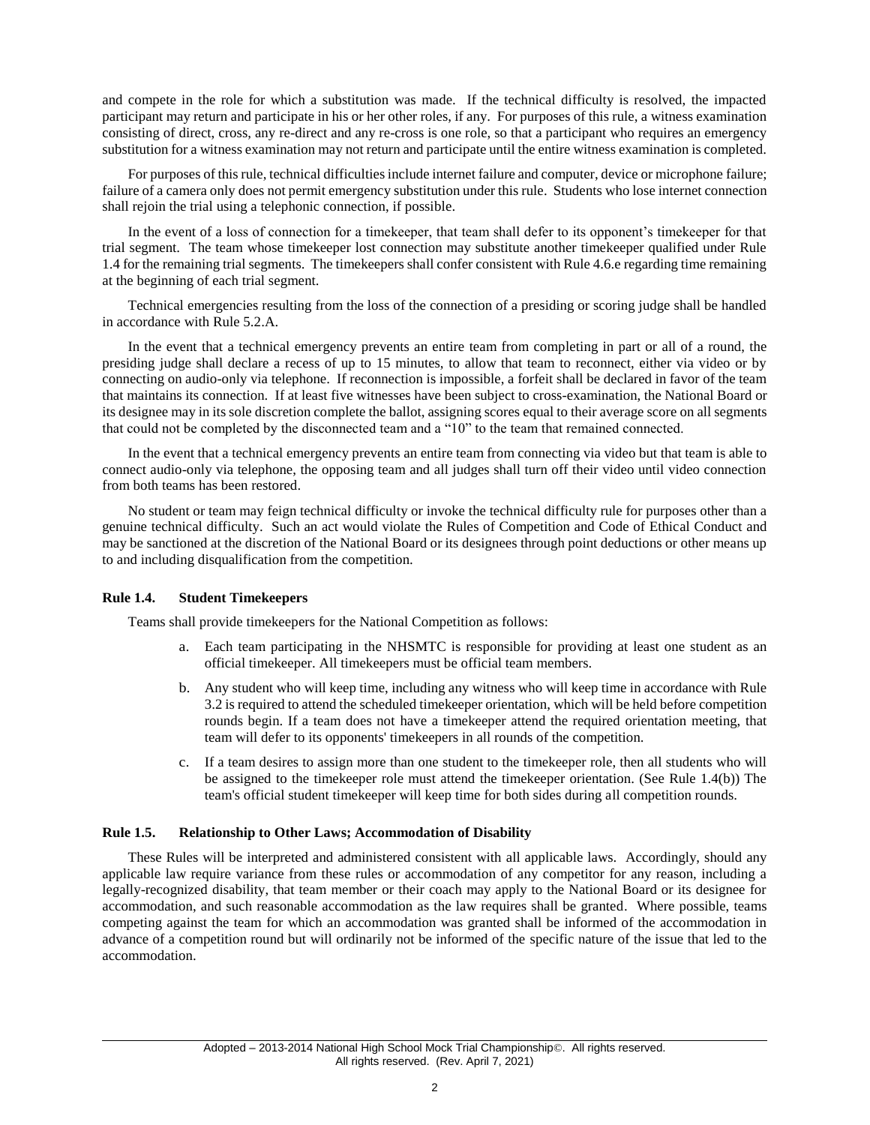and compete in the role for which a substitution was made. If the technical difficulty is resolved, the impacted participant may return and participate in his or her other roles, if any. For purposes of this rule, a witness examination consisting of direct, cross, any re-direct and any re-cross is one role, so that a participant who requires an emergency substitution for a witness examination may not return and participate until the entire witness examination is completed.

For purposes of this rule, technical difficulties include internet failure and computer, device or microphone failure; failure of a camera only does not permit emergency substitution under this rule. Students who lose internet connection shall rejoin the trial using a telephonic connection, if possible.

In the event of a loss of connection for a timekeeper, that team shall defer to its opponent's timekeeper for that trial segment. The team whose timekeeper lost connection may substitute another timekeeper qualified under Rule 1.4 for the remaining trial segments. The timekeepers shall confer consistent with Rule 4.6.e regarding time remaining at the beginning of each trial segment.

Technical emergencies resulting from the loss of the connection of a presiding or scoring judge shall be handled in accordance with Rule 5.2.A.

In the event that a technical emergency prevents an entire team from completing in part or all of a round, the presiding judge shall declare a recess of up to 15 minutes, to allow that team to reconnect, either via video or by connecting on audio-only via telephone. If reconnection is impossible, a forfeit shall be declared in favor of the team that maintains its connection. If at least five witnesses have been subject to cross-examination, the National Board or its designee may in its sole discretion complete the ballot, assigning scores equal to their average score on all segments that could not be completed by the disconnected team and a "10" to the team that remained connected.

In the event that a technical emergency prevents an entire team from connecting via video but that team is able to connect audio-only via telephone, the opposing team and all judges shall turn off their video until video connection from both teams has been restored.

No student or team may feign technical difficulty or invoke the technical difficulty rule for purposes other than a genuine technical difficulty. Such an act would violate the Rules of Competition and Code of Ethical Conduct and may be sanctioned at the discretion of the National Board or its designees through point deductions or other means up to and including disqualification from the competition.

#### <span id="page-3-0"></span>**Rule 1.4. Student Timekeepers**

Teams shall provide timekeepers for the National Competition as follows:

- a. Each team participating in the NHSMTC is responsible for providing at least one student as an official timekeeper. All timekeepers must be official team members.
- b. Any student who will keep time, including any witness who will keep time in accordance with Rule 3.2 is required to attend the scheduled timekeeper orientation, which will be held before competition rounds begin. If a team does not have a timekeeper attend the required orientation meeting, that team will defer to its opponents' timekeepers in all rounds of the competition.
- c. If a team desires to assign more than one student to the timekeeper role, then all students who will be assigned to the timekeeper role must attend the timekeeper orientation. (See Rule 1.4(b)) The team's official student timekeeper will keep time for both sides during all competition rounds.

#### <span id="page-3-1"></span>**Rule 1.5. Relationship to Other Laws; Accommodation of Disability**

<span id="page-3-2"></span>These Rules will be interpreted and administered consistent with all applicable laws. Accordingly, should any applicable law require variance from these rules or accommodation of any competitor for any reason, including a legally-recognized disability, that team member or their coach may apply to the National Board or its designee for accommodation, and such reasonable accommodation as the law requires shall be granted. Where possible, teams competing against the team for which an accommodation was granted shall be informed of the accommodation in advance of a competition round but will ordinarily not be informed of the specific nature of the issue that led to the accommodation.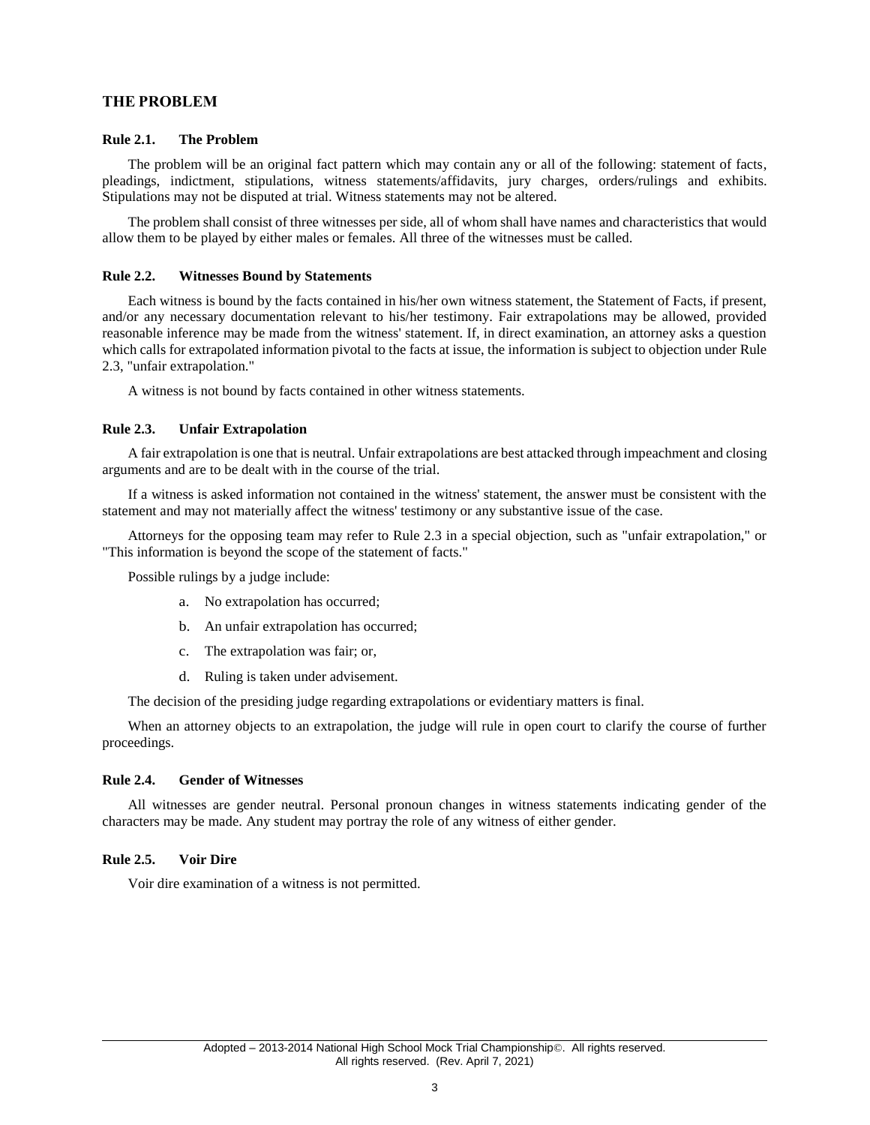## **THE PROBLEM**

#### <span id="page-4-0"></span>**Rule 2.1. The Problem**

The problem will be an original fact pattern which may contain any or all of the following: statement of facts, pleadings, indictment, stipulations, witness statements/affidavits, jury charges, orders/rulings and exhibits. Stipulations may not be disputed at trial. Witness statements may not be altered.

The problem shall consist of three witnesses per side, all of whom shall have names and characteristics that would allow them to be played by either males or females. All three of the witnesses must be called.

#### <span id="page-4-1"></span>**Rule 2.2. Witnesses Bound by Statements**

Each witness is bound by the facts contained in his/her own witness statement, the Statement of Facts, if present, and/or any necessary documentation relevant to his/her testimony. Fair extrapolations may be allowed, provided reasonable inference may be made from the witness' statement. If, in direct examination, an attorney asks a question which calls for extrapolated information pivotal to the facts at issue, the information is subject to objection under Rule 2.3, "unfair extrapolation."

A witness is not bound by facts contained in other witness statements.

#### <span id="page-4-2"></span>**Rule 2.3. Unfair Extrapolation**

A fair extrapolation is one that is neutral. Unfair extrapolations are best attacked through impeachment and closing arguments and are to be dealt with in the course of the trial.

If a witness is asked information not contained in the witness' statement, the answer must be consistent with the statement and may not materially affect the witness' testimony or any substantive issue of the case.

Attorneys for the opposing team may refer to Rule 2.3 in a special objection, such as "unfair extrapolation," or "This information is beyond the scope of the statement of facts."

Possible rulings by a judge include:

- a. No extrapolation has occurred;
- b. An unfair extrapolation has occurred;
- c. The extrapolation was fair; or,
- d. Ruling is taken under advisement.

The decision of the presiding judge regarding extrapolations or evidentiary matters is final.

When an attorney objects to an extrapolation, the judge will rule in open court to clarify the course of further proceedings.

#### <span id="page-4-3"></span>**Rule 2.4. Gender of Witnesses**

All witnesses are gender neutral. Personal pronoun changes in witness statements indicating gender of the characters may be made. Any student may portray the role of any witness of either gender.

#### <span id="page-4-4"></span>**Rule 2.5. Voir Dire**

<span id="page-4-5"></span>Voir dire examination of a witness is not permitted.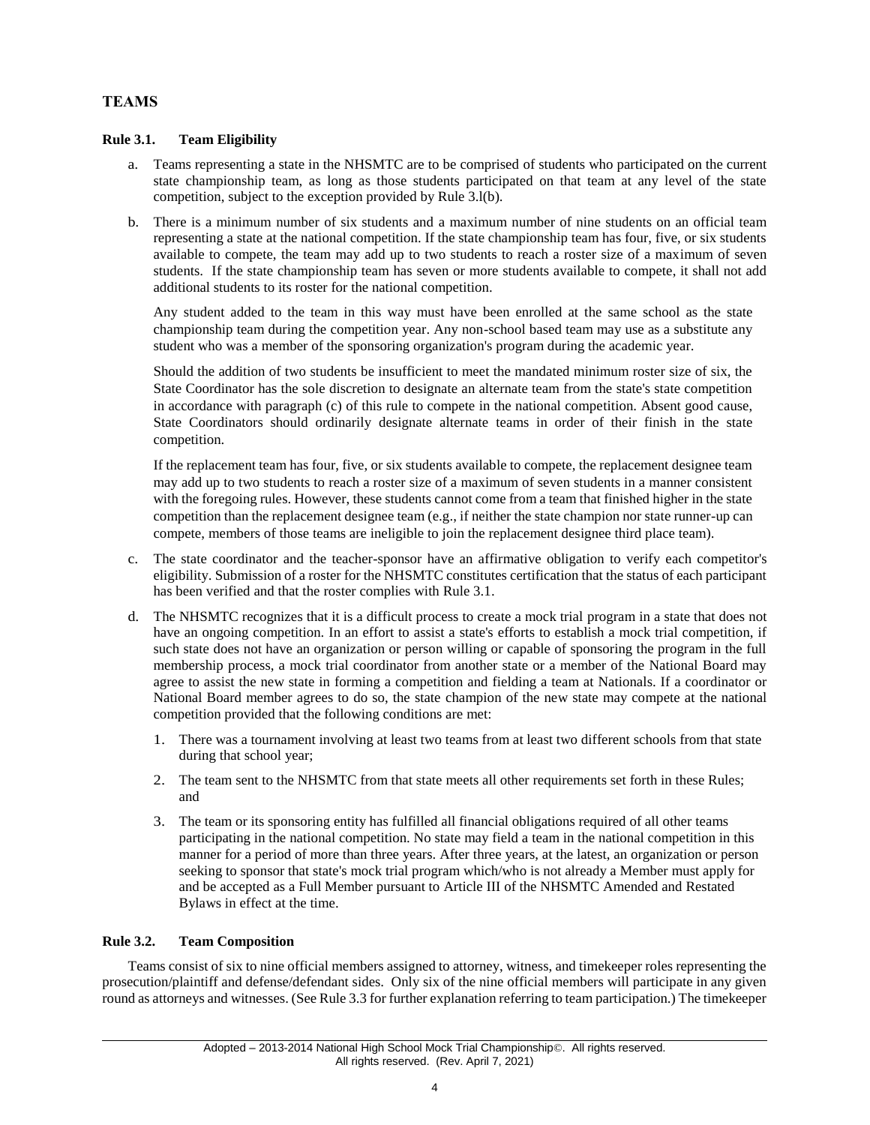# **TEAMS**

## <span id="page-5-0"></span>**Rule 3.1. Team Eligibility**

- a. Teams representing a state in the NHSMTC are to be comprised of students who participated on the current state championship team, as long as those students participated on that team at any level of the state competition, subject to the exception provided by Rule 3.l(b).
- b. There is a minimum number of six students and a maximum number of nine students on an official team representing a state at the national competition. If the state championship team has four, five, or six students available to compete, the team may add up to two students to reach a roster size of a maximum of seven students. If the state championship team has seven or more students available to compete, it shall not add additional students to its roster for the national competition.

Any student added to the team in this way must have been enrolled at the same school as the state championship team during the competition year. Any non-school based team may use as a substitute any student who was a member of the sponsoring organization's program during the academic year.

Should the addition of two students be insufficient to meet the mandated minimum roster size of six, the State Coordinator has the sole discretion to designate an alternate team from the state's state competition in accordance with paragraph (c) of this rule to compete in the national competition. Absent good cause, State Coordinators should ordinarily designate alternate teams in order of their finish in the state competition.

If the replacement team has four, five, or six students available to compete, the replacement designee team may add up to two students to reach a roster size of a maximum of seven students in a manner consistent with the foregoing rules. However, these students cannot come from a team that finished higher in the state competition than the replacement designee team (e.g., if neither the state champion nor state runner-up can compete, members of those teams are ineligible to join the replacement designee third place team).

- c. The state coordinator and the teacher-sponsor have an affirmative obligation to verify each competitor's eligibility. Submission of a roster for the NHSMTC constitutes certification that the status of each participant has been verified and that the roster complies with Rule 3.1.
- d. The NHSMTC recognizes that it is a difficult process to create a mock trial program in a state that does not have an ongoing competition. In an effort to assist a state's efforts to establish a mock trial competition, if such state does not have an organization or person willing or capable of sponsoring the program in the full membership process, a mock trial coordinator from another state or a member of the National Board may agree to assist the new state in forming a competition and fielding a team at Nationals. If a coordinator or National Board member agrees to do so, the state champion of the new state may compete at the national competition provided that the following conditions are met:
	- 1. There was a tournament involving at least two teams from at least two different schools from that state during that school year;
	- 2. The team sent to the NHSMTC from that state meets all other requirements set forth in these Rules; and
	- 3. The team or its sponsoring entity has fulfilled all financial obligations required of all other teams participating in the national competition. No state may field a team in the national competition in this manner for a period of more than three years. After three years, at the latest, an organization or person seeking to sponsor that state's mock trial program which/who is not already a Member must apply for and be accepted as a Full Member pursuant to Article III of the NHSMTC Amended and Restated Bylaws in effect at the time.

## <span id="page-5-1"></span>**Rule 3.2. Team Composition**

Teams consist of six to nine official members assigned to attorney, witness, and timekeeper roles representing the prosecution/plaintiff and defense/defendant sides. Only six of the nine official members will participate in any given round as attorneys and witnesses. (See Rule 3.3 for further explanation referring to team participation.) The timekeeper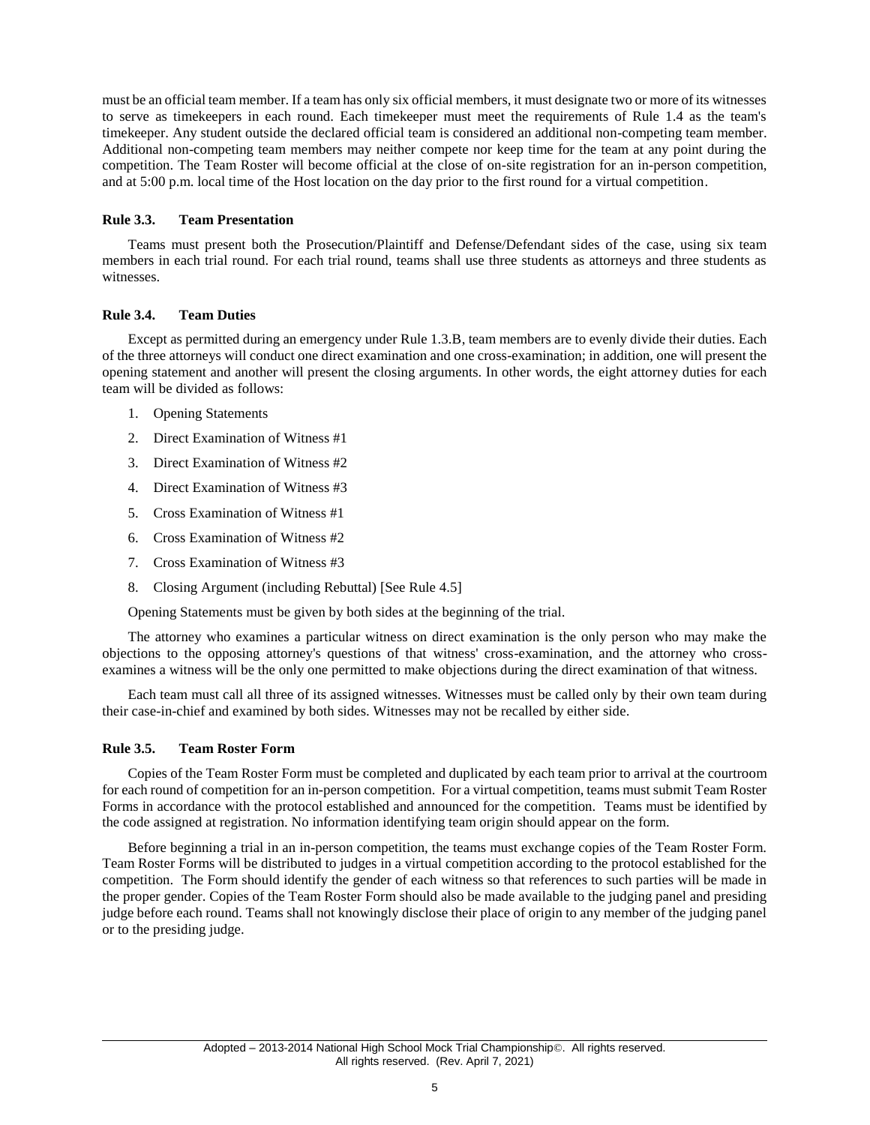must be an official team member. If a team has only six official members, it must designate two or more of its witnesses to serve as timekeepers in each round. Each timekeeper must meet the requirements of Rule 1.4 as the team's timekeeper. Any student outside the declared official team is considered an additional non-competing team member. Additional non-competing team members may neither compete nor keep time for the team at any point during the competition. The Team Roster will become official at the close of on-site registration for an in-person competition, and at 5:00 p.m. local time of the Host location on the day prior to the first round for a virtual competition.

#### <span id="page-6-0"></span>**Rule 3.3. Team Presentation**

Teams must present both the Prosecution/Plaintiff and Defense/Defendant sides of the case, using six team members in each trial round. For each trial round, teams shall use three students as attorneys and three students as witnesses.

#### <span id="page-6-1"></span>**Rule 3.4. Team Duties**

Except as permitted during an emergency under Rule 1.3.B, team members are to evenly divide their duties. Each of the three attorneys will conduct one direct examination and one cross-examination; in addition, one will present the opening statement and another will present the closing arguments. In other words, the eight attorney duties for each team will be divided as follows:

- 1. Opening Statements
- 2. Direct Examination of Witness #1
- 3. Direct Examination of Witness #2
- 4. Direct Examination of Witness #3
- 5. Cross Examination of Witness #1
- 6. Cross Examination of Witness #2
- 7. Cross Examination of Witness #3
- 8. Closing Argument (including Rebuttal) [See Rule 4.5]

Opening Statements must be given by both sides at the beginning of the trial.

The attorney who examines a particular witness on direct examination is the only person who may make the objections to the opposing attorney's questions of that witness' cross-examination, and the attorney who crossexamines a witness will be the only one permitted to make objections during the direct examination of that witness.

Each team must call all three of its assigned witnesses. Witnesses must be called only by their own team during their case-in-chief and examined by both sides. Witnesses may not be recalled by either side.

#### <span id="page-6-2"></span>**Rule 3.5. Team Roster Form**

Copies of the Team Roster Form must be completed and duplicated by each team prior to arrival at the courtroom for each round of competition for an in-person competition. For a virtual competition, teams must submit Team Roster Forms in accordance with the protocol established and announced for the competition. Teams must be identified by the code assigned at registration. No information identifying team origin should appear on the form.

<span id="page-6-3"></span>Before beginning a trial in an in-person competition, the teams must exchange copies of the Team Roster Form. Team Roster Forms will be distributed to judges in a virtual competition according to the protocol established for the competition. The Form should identify the gender of each witness so that references to such parties will be made in the proper gender. Copies of the Team Roster Form should also be made available to the judging panel and presiding judge before each round. Teams shall not knowingly disclose their place of origin to any member of the judging panel or to the presiding judge.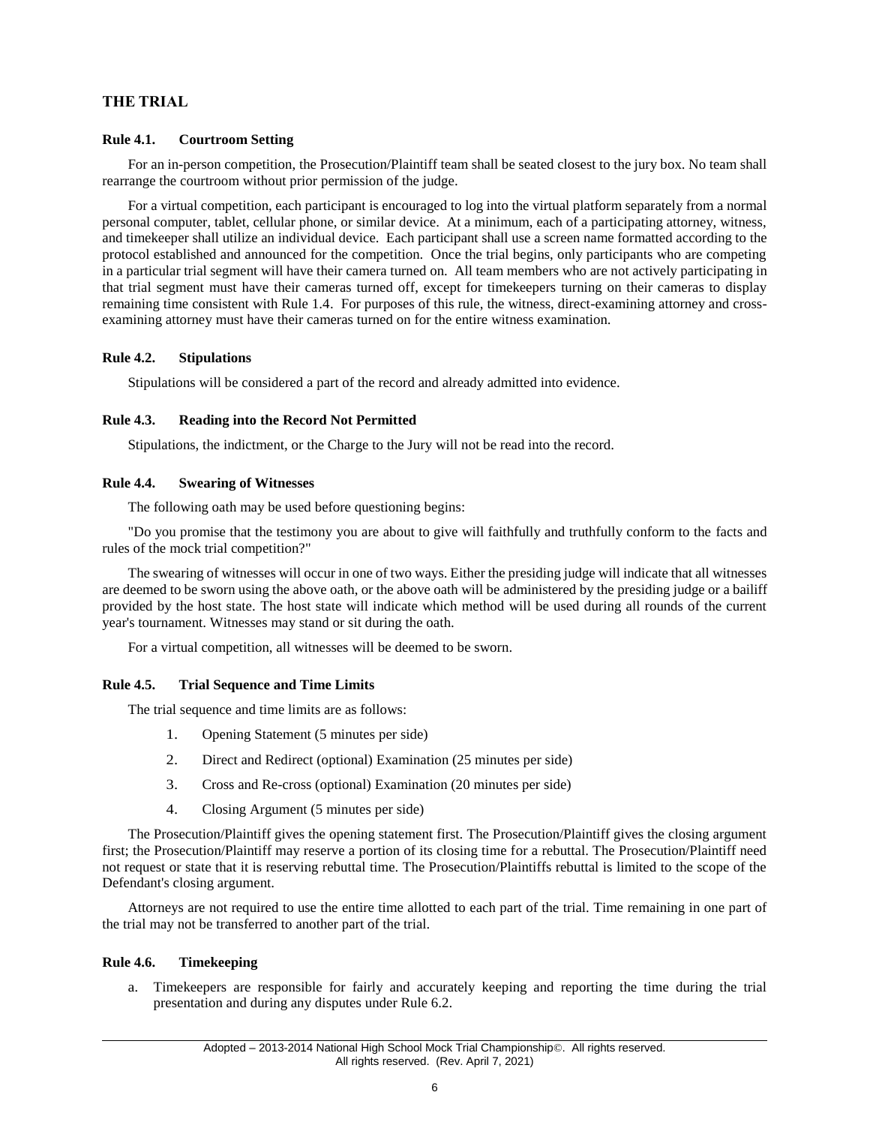# **THE TRIAL**

#### <span id="page-7-0"></span>**Rule 4.1. Courtroom Setting**

For an in-person competition, the Prosecution/Plaintiff team shall be seated closest to the jury box. No team shall rearrange the courtroom without prior permission of the judge.

For a virtual competition, each participant is encouraged to log into the virtual platform separately from a normal personal computer, tablet, cellular phone, or similar device. At a minimum, each of a participating attorney, witness, and timekeeper shall utilize an individual device. Each participant shall use a screen name formatted according to the protocol established and announced for the competition. Once the trial begins, only participants who are competing in a particular trial segment will have their camera turned on. All team members who are not actively participating in that trial segment must have their cameras turned off, except for timekeepers turning on their cameras to display remaining time consistent with Rule 1.4. For purposes of this rule, the witness, direct-examining attorney and crossexamining attorney must have their cameras turned on for the entire witness examination.

#### <span id="page-7-1"></span>**Rule 4.2. Stipulations**

Stipulations will be considered a part of the record and already admitted into evidence.

#### <span id="page-7-2"></span>**Rule 4.3. Reading into the Record Not Permitted**

Stipulations, the indictment, or the Charge to the Jury will not be read into the record.

#### <span id="page-7-3"></span>**Rule 4.4. Swearing of Witnesses**

The following oath may be used before questioning begins:

"Do you promise that the testimony you are about to give will faithfully and truthfully conform to the facts and rules of the mock trial competition?"

The swearing of witnesses will occur in one of two ways. Either the presiding judge will indicate that all witnesses are deemed to be sworn using the above oath, or the above oath will be administered by the presiding judge or a bailiff provided by the host state. The host state will indicate which method will be used during all rounds of the current year's tournament. Witnesses may stand or sit during the oath.

For a virtual competition, all witnesses will be deemed to be sworn.

#### <span id="page-7-4"></span>**Rule 4.5. Trial Sequence and Time Limits**

The trial sequence and time limits are as follows:

- 1. Opening Statement (5 minutes per side)
- 2. Direct and Redirect (optional) Examination (25 minutes per side)
- 3. Cross and Re-cross (optional) Examination (20 minutes per side)
- 4. Closing Argument (5 minutes per side)

The Prosecution/Plaintiff gives the opening statement first. The Prosecution/Plaintiff gives the closing argument first; the Prosecution/Plaintiff may reserve a portion of its closing time for a rebuttal. The Prosecution/Plaintiff need not request or state that it is reserving rebuttal time. The Prosecution/Plaintiffs rebuttal is limited to the scope of the Defendant's closing argument.

Attorneys are not required to use the entire time allotted to each part of the trial. Time remaining in one part of the trial may not be transferred to another part of the trial.

#### <span id="page-7-5"></span>**Rule 4.6. Timekeeping**

a. Timekeepers are responsible for fairly and accurately keeping and reporting the time during the trial presentation and during any disputes under Rule 6.2.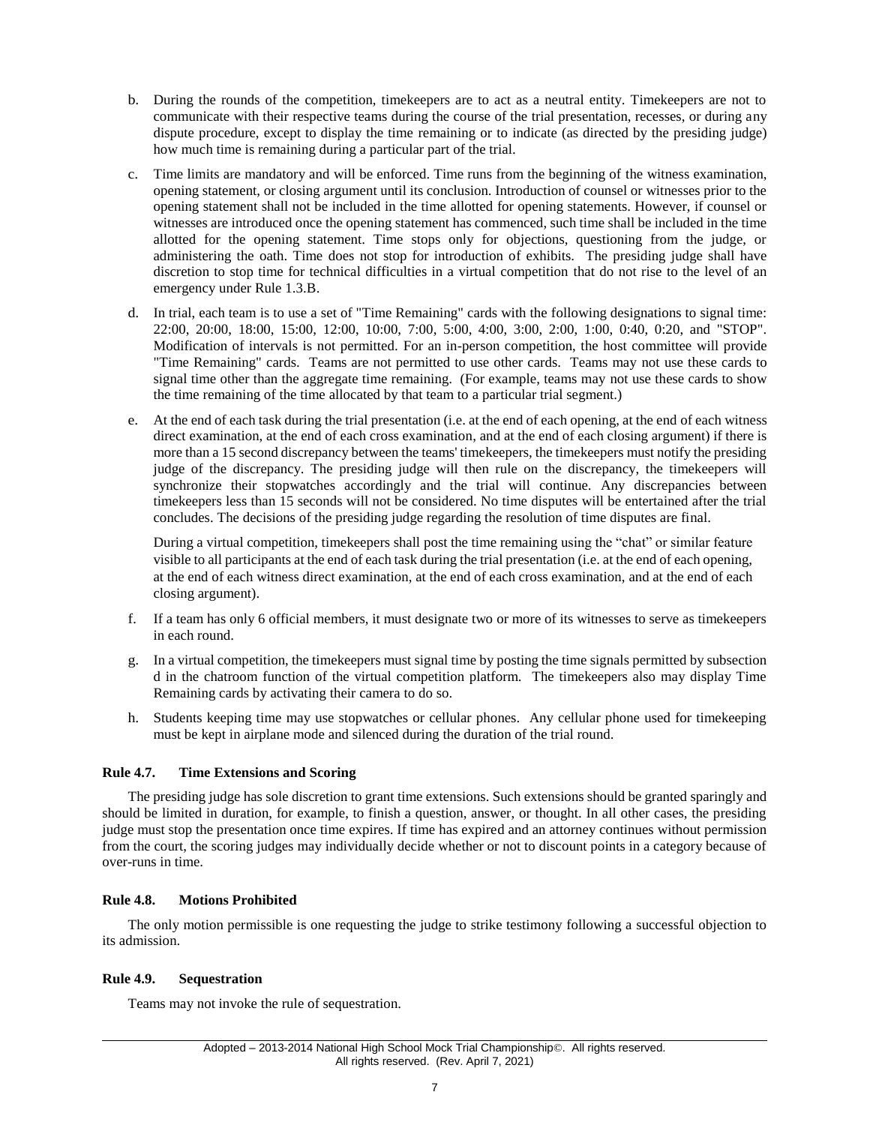- b. During the rounds of the competition, timekeepers are to act as a neutral entity. Timekeepers are not to communicate with their respective teams during the course of the trial presentation, recesses, or during any dispute procedure, except to display the time remaining or to indicate (as directed by the presiding judge) how much time is remaining during a particular part of the trial.
- c. Time limits are mandatory and will be enforced. Time runs from the beginning of the witness examination, opening statement, or closing argument until its conclusion. Introduction of counsel or witnesses prior to the opening statement shall not be included in the time allotted for opening statements. However, if counsel or witnesses are introduced once the opening statement has commenced, such time shall be included in the time allotted for the opening statement. Time stops only for objections, questioning from the judge, or administering the oath. Time does not stop for introduction of exhibits. The presiding judge shall have discretion to stop time for technical difficulties in a virtual competition that do not rise to the level of an emergency under Rule 1.3.B.
- d. In trial, each team is to use a set of "Time Remaining" cards with the following designations to signal time: 22:00, 20:00, 18:00, 15:00, 12:00, 10:00, 7:00, 5:00, 4:00, 3:00, 2:00, 1:00, 0:40, 0:20, and "STOP". Modification of intervals is not permitted. For an in-person competition, the host committee will provide "Time Remaining" cards. Teams are not permitted to use other cards. Teams may not use these cards to signal time other than the aggregate time remaining. (For example, teams may not use these cards to show the time remaining of the time allocated by that team to a particular trial segment.)
- e. At the end of each task during the trial presentation (i.e. at the end of each opening, at the end of each witness direct examination, at the end of each cross examination, and at the end of each closing argument) if there is more than a 15 second discrepancy between the teams' timekeepers, the timekeepers must notify the presiding judge of the discrepancy. The presiding judge will then rule on the discrepancy, the timekeepers will synchronize their stopwatches accordingly and the trial will continue. Any discrepancies between timekeepers less than 15 seconds will not be considered. No time disputes will be entertained after the trial concludes. The decisions of the presiding judge regarding the resolution of time disputes are final.

During a virtual competition, timekeepers shall post the time remaining using the "chat" or similar feature visible to all participants at the end of each task during the trial presentation (i.e. at the end of each opening, at the end of each witness direct examination, at the end of each cross examination, and at the end of each closing argument).

- f. If a team has only 6 official members, it must designate two or more of its witnesses to serve as timekeepers in each round.
- g. In a virtual competition, the timekeepers must signal time by posting the time signals permitted by subsection d in the chatroom function of the virtual competition platform. The timekeepers also may display Time Remaining cards by activating their camera to do so.
- h. Students keeping time may use stopwatches or cellular phones. Any cellular phone used for timekeeping must be kept in airplane mode and silenced during the duration of the trial round.

## <span id="page-8-0"></span>**Rule 4.7. Time Extensions and Scoring**

The presiding judge has sole discretion to grant time extensions. Such extensions should be granted sparingly and should be limited in duration, for example, to finish a question, answer, or thought. In all other cases, the presiding judge must stop the presentation once time expires. If time has expired and an attorney continues without permission from the court, the scoring judges may individually decide whether or not to discount points in a category because of over-runs in time.

## <span id="page-8-1"></span>**Rule 4.8. Motions Prohibited**

The only motion permissible is one requesting the judge to strike testimony following a successful objection to its admission.

## <span id="page-8-2"></span>**Rule 4.9. Sequestration**

Teams may not invoke the rule of sequestration.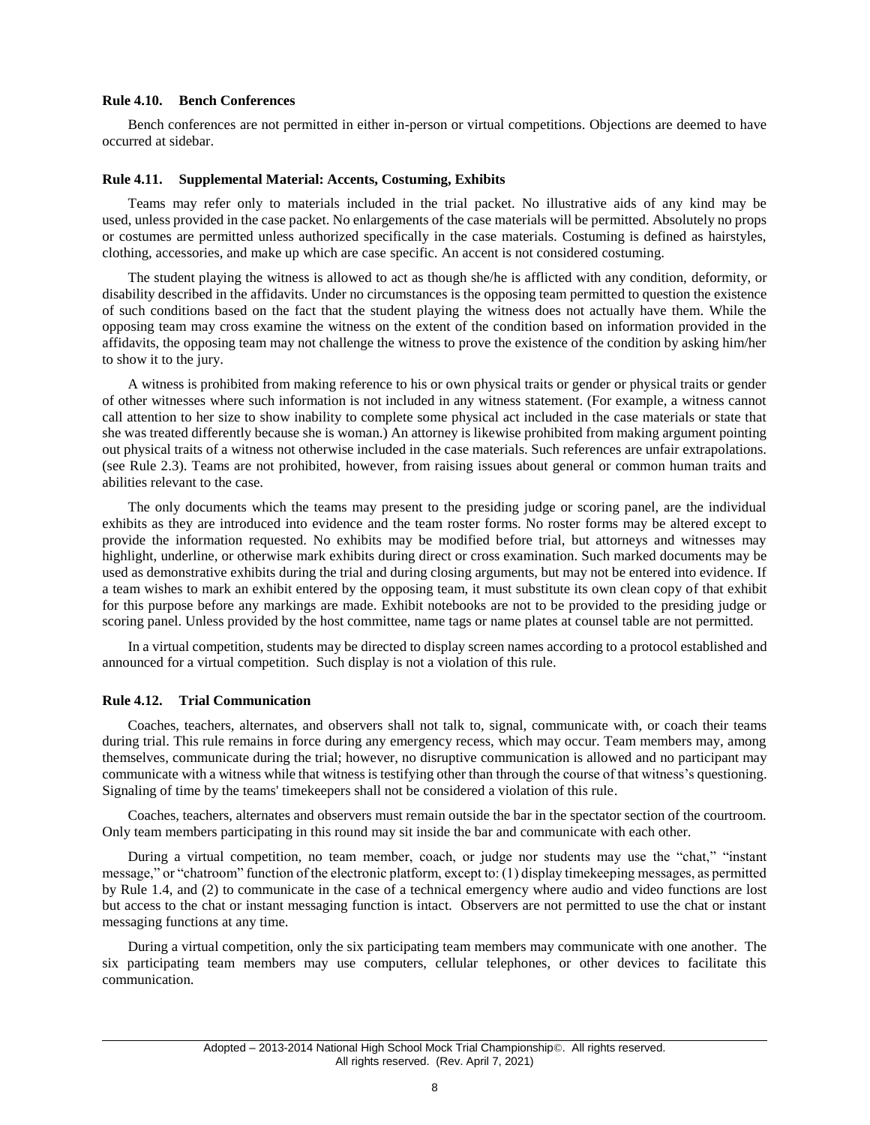#### <span id="page-9-0"></span>**Rule 4.10. Bench Conferences**

Bench conferences are not permitted in either in-person or virtual competitions. Objections are deemed to have occurred at sidebar.

#### <span id="page-9-1"></span>**Rule 4.11. Supplemental Material: Accents, Costuming, Exhibits**

Teams may refer only to materials included in the trial packet. No illustrative aids of any kind may be used, unless provided in the case packet. No enlargements of the case materials will be permitted. Absolutely no props or costumes are permitted unless authorized specifically in the case materials. Costuming is defined as hairstyles, clothing, accessories, and make up which are case specific. An accent is not considered costuming.

The student playing the witness is allowed to act as though she/he is afflicted with any condition, deformity, or disability described in the affidavits. Under no circumstances is the opposing team permitted to question the existence of such conditions based on the fact that the student playing the witness does not actually have them. While the opposing team may cross examine the witness on the extent of the condition based on information provided in the affidavits, the opposing team may not challenge the witness to prove the existence of the condition by asking him/her to show it to the jury.

A witness is prohibited from making reference to his or own physical traits or gender or physical traits or gender of other witnesses where such information is not included in any witness statement. (For example, a witness cannot call attention to her size to show inability to complete some physical act included in the case materials or state that she was treated differently because she is woman.) An attorney is likewise prohibited from making argument pointing out physical traits of a witness not otherwise included in the case materials. Such references are unfair extrapolations. (see Rule 2.3). Teams are not prohibited, however, from raising issues about general or common human traits and abilities relevant to the case.

The only documents which the teams may present to the presiding judge or scoring panel, are the individual exhibits as they are introduced into evidence and the team roster forms. No roster forms may be altered except to provide the information requested. No exhibits may be modified before trial, but attorneys and witnesses may highlight, underline, or otherwise mark exhibits during direct or cross examination. Such marked documents may be used as demonstrative exhibits during the trial and during closing arguments, but may not be entered into evidence. If a team wishes to mark an exhibit entered by the opposing team, it must substitute its own clean copy of that exhibit for this purpose before any markings are made. Exhibit notebooks are not to be provided to the presiding judge or scoring panel. Unless provided by the host committee, name tags or name plates at counsel table are not permitted.

In a virtual competition, students may be directed to display screen names according to a protocol established and announced for a virtual competition. Such display is not a violation of this rule.

#### <span id="page-9-2"></span>**Rule 4.12. Trial Communication**

Coaches, teachers, alternates, and observers shall not talk to, signal, communicate with, or coach their teams during trial. This rule remains in force during any emergency recess, which may occur. Team members may, among themselves, communicate during the trial; however, no disruptive communication is allowed and no participant may communicate with a witness while that witness is testifying other than through the course of that witness's questioning. Signaling of time by the teams' timekeepers shall not be considered a violation of this rule.

Coaches, teachers, alternates and observers must remain outside the bar in the spectator section of the courtroom. Only team members participating in this round may sit inside the bar and communicate with each other.

During a virtual competition, no team member, coach, or judge nor students may use the "chat," "instant message," or "chatroom" function of the electronic platform, except to: (1) display timekeeping messages, as permitted by Rule 1.4, and (2) to communicate in the case of a technical emergency where audio and video functions are lost but access to the chat or instant messaging function is intact. Observers are not permitted to use the chat or instant messaging functions at any time.

During a virtual competition, only the six participating team members may communicate with one another. The six participating team members may use computers, cellular telephones, or other devices to facilitate this communication.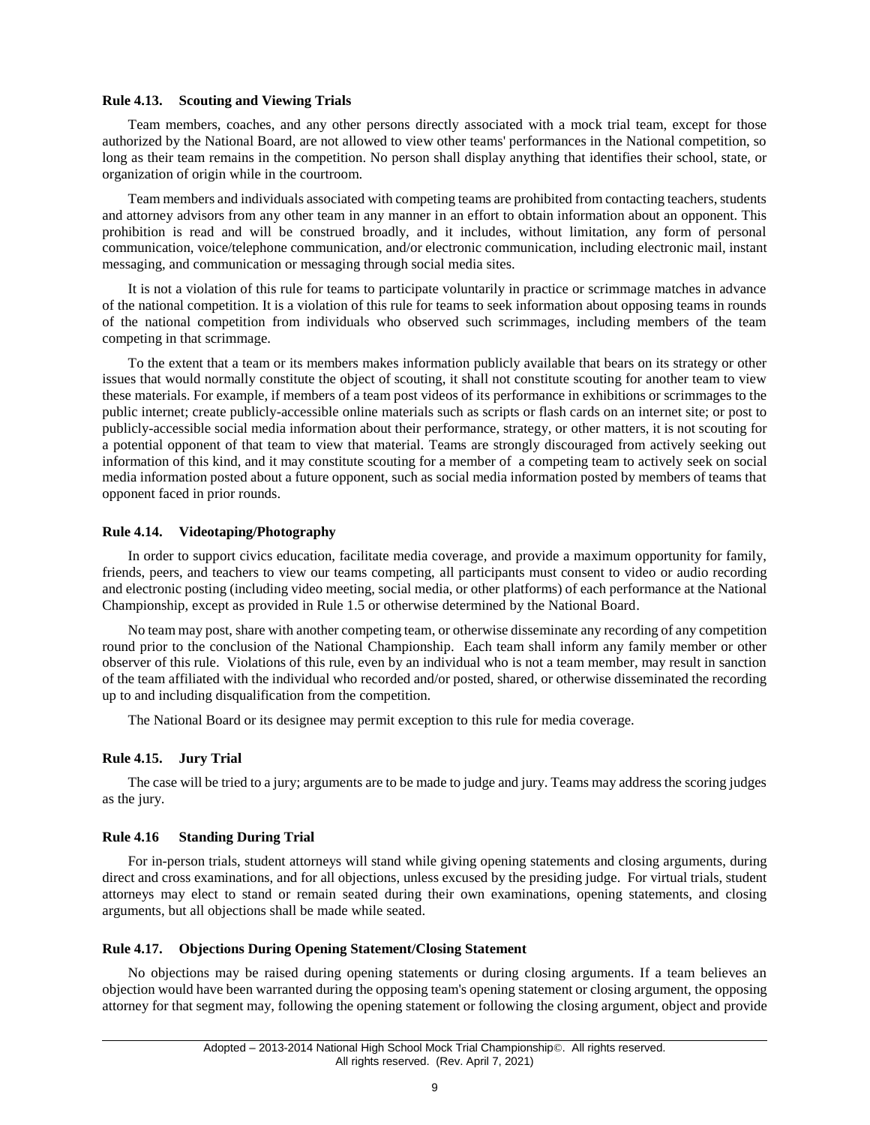#### <span id="page-10-0"></span>**Rule 4.13. Scouting and Viewing Trials**

Team members, coaches, and any other persons directly associated with a mock trial team, except for those authorized by the National Board, are not allowed to view other teams' performances in the National competition, so long as their team remains in the competition. No person shall display anything that identifies their school, state, or organization of origin while in the courtroom.

Team members and individuals associated with competing teams are prohibited from contacting teachers, students and attorney advisors from any other team in any manner in an effort to obtain information about an opponent. This prohibition is read and will be construed broadly, and it includes, without limitation, any form of personal communication, voice/telephone communication, and/or electronic communication, including electronic mail, instant messaging, and communication or messaging through social media sites.

It is not a violation of this rule for teams to participate voluntarily in practice or scrimmage matches in advance of the national competition. It is a violation of this rule for teams to seek information about opposing teams in rounds of the national competition from individuals who observed such scrimmages, including members of the team competing in that scrimmage.

To the extent that a team or its members makes information publicly available that bears on its strategy or other issues that would normally constitute the object of scouting, it shall not constitute scouting for another team to view these materials. For example, if members of a team post videos of its performance in exhibitions or scrimmages to the public internet; create publicly-accessible online materials such as scripts or flash cards on an internet site; or post to publicly-accessible social media information about their performance, strategy, or other matters, it is not scouting for a potential opponent of that team to view that material. Teams are strongly discouraged from actively seeking out information of this kind, and it may constitute scouting for a member of a competing team to actively seek on social media information posted about a future opponent, such as social media information posted by members of teams that opponent faced in prior rounds.

#### <span id="page-10-1"></span>**Rule 4.14. Videotaping/Photography**

In order to support civics education, facilitate media coverage, and provide a maximum opportunity for family, friends, peers, and teachers to view our teams competing, all participants must consent to video or audio recording and electronic posting (including video meeting, social media, or other platforms) of each performance at the National Championship, except as provided in Rule 1.5 or otherwise determined by the National Board.

No team may post, share with another competing team, or otherwise disseminate any recording of any competition round prior to the conclusion of the National Championship. Each team shall inform any family member or other observer of this rule. Violations of this rule, even by an individual who is not a team member, may result in sanction of the team affiliated with the individual who recorded and/or posted, shared, or otherwise disseminated the recording up to and including disqualification from the competition.

The National Board or its designee may permit exception to this rule for media coverage.

#### <span id="page-10-2"></span>**Rule 4.15. Jury Trial**

The case will be tried to a jury; arguments are to be made to judge and jury. Teams may address the scoring judges as the jury.

#### <span id="page-10-3"></span>**Rule 4.16 Standing During Trial**

For in-person trials, student attorneys will stand while giving opening statements and closing arguments, during direct and cross examinations, and for all objections, unless excused by the presiding judge. For virtual trials, student attorneys may elect to stand or remain seated during their own examinations, opening statements, and closing arguments, but all objections shall be made while seated.

#### <span id="page-10-4"></span>**Rule 4.17. Objections During Opening Statement/Closing Statement**

No objections may be raised during opening statements or during closing arguments. If a team believes an objection would have been warranted during the opposing team's opening statement or closing argument, the opposing attorney for that segment may, following the opening statement or following the closing argument, object and provide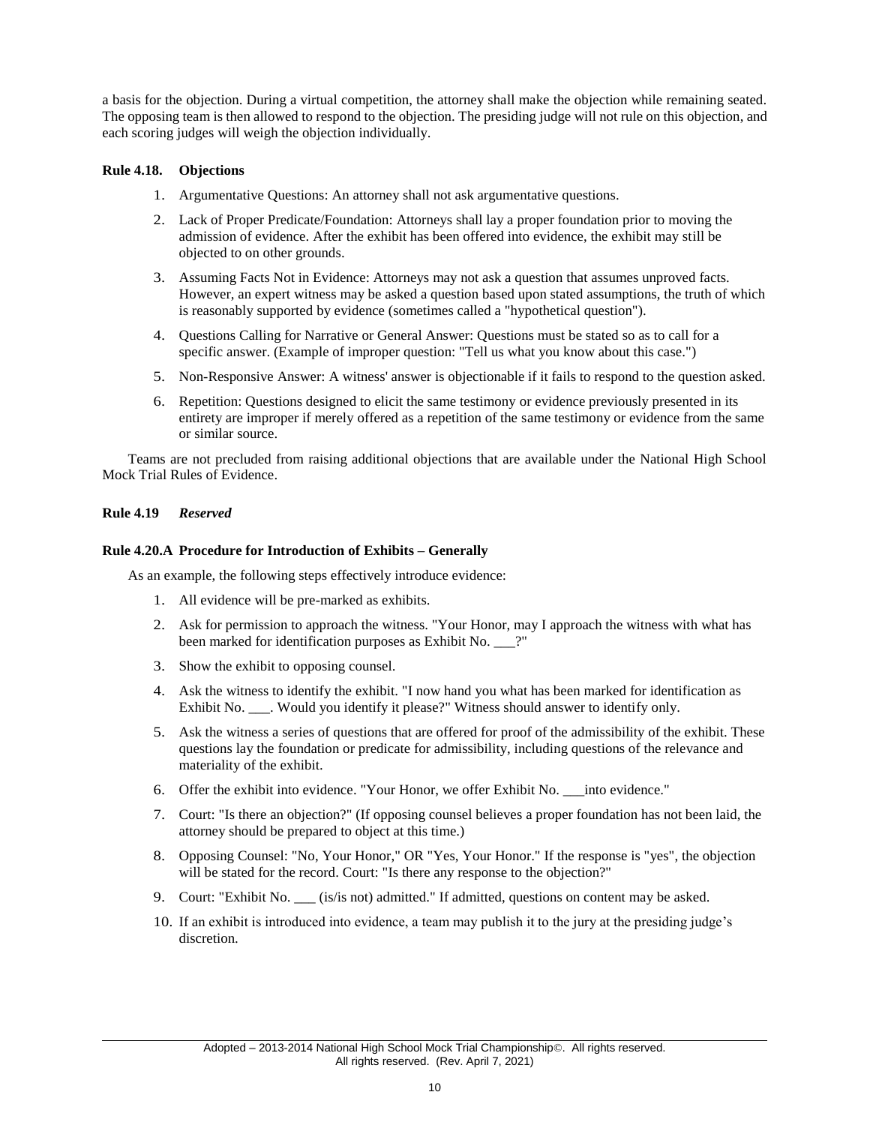a basis for the objection. During a virtual competition, the attorney shall make the objection while remaining seated. The opposing team is then allowed to respond to the objection. The presiding judge will not rule on this objection, and each scoring judges will weigh the objection individually.

# <span id="page-11-0"></span>**Rule 4.18. Objections**

- 1. Argumentative Questions: An attorney shall not ask argumentative questions.
- 2. Lack of Proper Predicate/Foundation: Attorneys shall lay a proper foundation prior to moving the admission of evidence. After the exhibit has been offered into evidence, the exhibit may still be objected to on other grounds.
- 3. Assuming Facts Not in Evidence: Attorneys may not ask a question that assumes unproved facts. However, an expert witness may be asked a question based upon stated assumptions, the truth of which is reasonably supported by evidence (sometimes called a "hypothetical question").
- 4. Questions Calling for Narrative or General Answer: Questions must be stated so as to call for a specific answer. (Example of improper question: "Tell us what you know about this case.")
- 5. Non-Responsive Answer: A witness' answer is objectionable if it fails to respond to the question asked.
- 6. Repetition: Questions designed to elicit the same testimony or evidence previously presented in its entirety are improper if merely offered as a repetition of the same testimony or evidence from the same or similar source.

Teams are not precluded from raising additional objections that are available under the National High School Mock Trial Rules of Evidence.

#### <span id="page-11-1"></span>**Rule 4.19** *Reserved*

#### <span id="page-11-2"></span>**Rule 4.20.A Procedure for Introduction of Exhibits – Generally**

As an example, the following steps effectively introduce evidence:

- 1. All evidence will be pre-marked as exhibits.
- 2. Ask for permission to approach the witness. "Your Honor, may I approach the witness with what has been marked for identification purposes as Exhibit No. \_\_\_?"
- 3. Show the exhibit to opposing counsel.
- 4. Ask the witness to identify the exhibit. "I now hand you what has been marked for identification as Exhibit No. \_\_\_. Would you identify it please?" Witness should answer to identify only.
- 5. Ask the witness a series of questions that are offered for proof of the admissibility of the exhibit. These questions lay the foundation or predicate for admissibility, including questions of the relevance and materiality of the exhibit.
- 6. Offer the exhibit into evidence. "Your Honor, we offer Exhibit No. \_\_\_into evidence."
- 7. Court: "Is there an objection?" (If opposing counsel believes a proper foundation has not been laid, the attorney should be prepared to object at this time.)
- 8. Opposing Counsel: "No, Your Honor," OR "Yes, Your Honor." If the response is "yes", the objection will be stated for the record. Court: "Is there any response to the objection?"
- 9. Court: "Exhibit No. \_\_\_ (is/is not) admitted." If admitted, questions on content may be asked.
- <span id="page-11-3"></span>10. If an exhibit is introduced into evidence, a team may publish it to the jury at the presiding judge's discretion.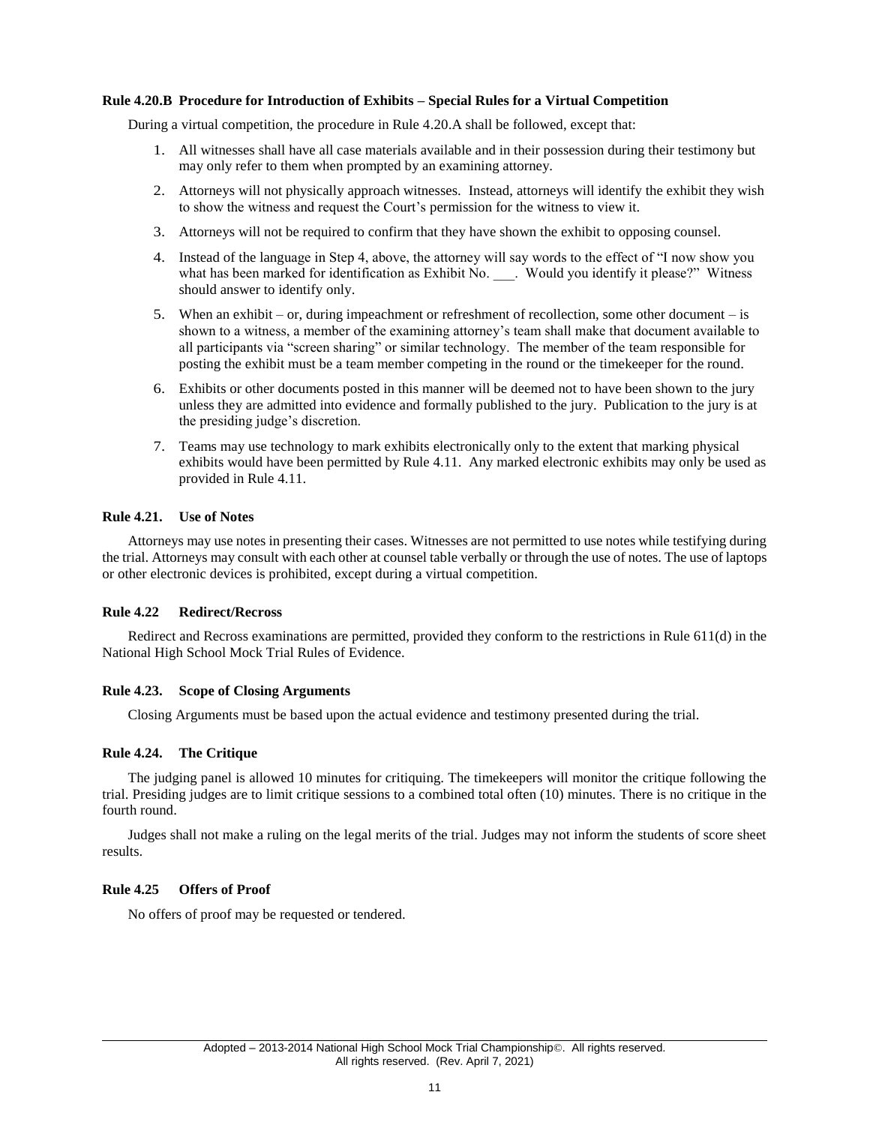#### **Rule 4.20.B Procedure for Introduction of Exhibits – Special Rules for a Virtual Competition**

During a virtual competition, the procedure in Rule 4.20.A shall be followed, except that:

- 1. All witnesses shall have all case materials available and in their possession during their testimony but may only refer to them when prompted by an examining attorney.
- 2. Attorneys will not physically approach witnesses. Instead, attorneys will identify the exhibit they wish to show the witness and request the Court's permission for the witness to view it.
- 3. Attorneys will not be required to confirm that they have shown the exhibit to opposing counsel.
- 4. Instead of the language in Step 4, above, the attorney will say words to the effect of "I now show you what has been marked for identification as Exhibit No. \_\_\_. Would you identify it please?" Witness should answer to identify only.
- 5. When an exhibit or, during impeachment or refreshment of recollection, some other document is shown to a witness, a member of the examining attorney's team shall make that document available to all participants via "screen sharing" or similar technology. The member of the team responsible for posting the exhibit must be a team member competing in the round or the timekeeper for the round.
- 6. Exhibits or other documents posted in this manner will be deemed not to have been shown to the jury unless they are admitted into evidence and formally published to the jury. Publication to the jury is at the presiding judge's discretion.
- 7. Teams may use technology to mark exhibits electronically only to the extent that marking physical exhibits would have been permitted by Rule 4.11. Any marked electronic exhibits may only be used as provided in Rule 4.11.

#### <span id="page-12-0"></span>**Rule 4.21. Use of Notes**

Attorneys may use notes in presenting their cases. Witnesses are not permitted to use notes while testifying during the trial. Attorneys may consult with each other at counsel table verbally or through the use of notes. The use of laptops or other electronic devices is prohibited, except during a virtual competition.

#### <span id="page-12-1"></span>**Rule 4.22 Redirect/Recross**

Redirect and Recross examinations are permitted, provided they conform to the restrictions in Rule 611(d) in the National High School Mock Trial Rules of Evidence.

## <span id="page-12-2"></span>**Rule 4.23. Scope of Closing Arguments**

Closing Arguments must be based upon the actual evidence and testimony presented during the trial.

## <span id="page-12-3"></span>**Rule 4.24. The Critique**

The judging panel is allowed 10 minutes for critiquing. The timekeepers will monitor the critique following the trial. Presiding judges are to limit critique sessions to a combined total often (10) minutes. There is no critique in the fourth round.

Judges shall not make a ruling on the legal merits of the trial. Judges may not inform the students of score sheet results.

## <span id="page-12-4"></span>**Rule 4.25 Offers of Proof**

<span id="page-12-5"></span>No offers of proof may be requested or tendered.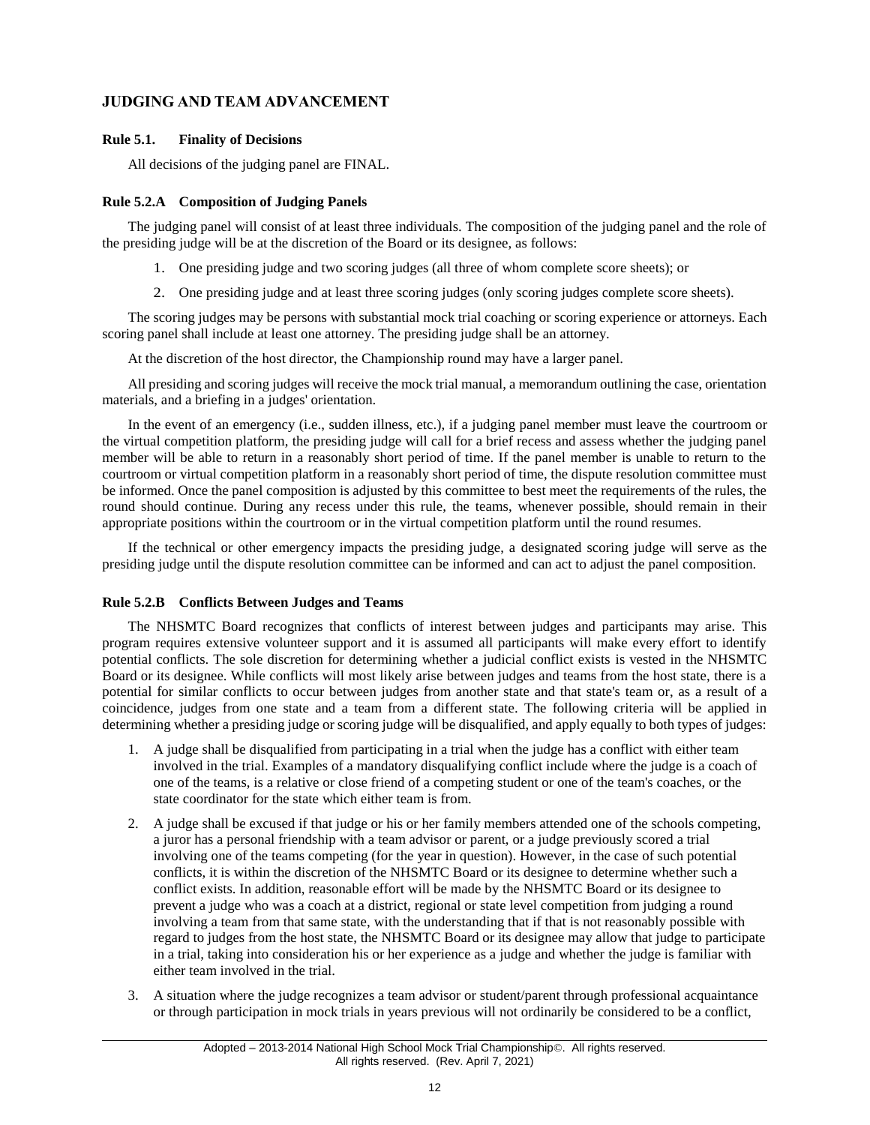# **JUDGING AND TEAM ADVANCEMENT**

## <span id="page-13-0"></span>**Rule 5.1. Finality of Decisions**

All decisions of the judging panel are FINAL.

## <span id="page-13-1"></span>**Rule 5.2.A Composition of Judging Panels**

The judging panel will consist of at least three individuals. The composition of the judging panel and the role of the presiding judge will be at the discretion of the Board or its designee, as follows:

- 1. One presiding judge and two scoring judges (all three of whom complete score sheets); or
- 2. One presiding judge and at least three scoring judges (only scoring judges complete score sheets).

The scoring judges may be persons with substantial mock trial coaching or scoring experience or attorneys. Each scoring panel shall include at least one attorney. The presiding judge shall be an attorney.

At the discretion of the host director, the Championship round may have a larger panel.

All presiding and scoring judges will receive the mock trial manual, a memorandum outlining the case, orientation materials, and a briefing in a judges' orientation.

In the event of an emergency (i.e., sudden illness, etc.), if a judging panel member must leave the courtroom or the virtual competition platform, the presiding judge will call for a brief recess and assess whether the judging panel member will be able to return in a reasonably short period of time. If the panel member is unable to return to the courtroom or virtual competition platform in a reasonably short period of time, the dispute resolution committee must be informed. Once the panel composition is adjusted by this committee to best meet the requirements of the rules, the round should continue. During any recess under this rule, the teams, whenever possible, should remain in their appropriate positions within the courtroom or in the virtual competition platform until the round resumes.

If the technical or other emergency impacts the presiding judge, a designated scoring judge will serve as the presiding judge until the dispute resolution committee can be informed and can act to adjust the panel composition.

## <span id="page-13-2"></span>**Rule 5.2.B Conflicts Between Judges and Teams**

The NHSMTC Board recognizes that conflicts of interest between judges and participants may arise. This program requires extensive volunteer support and it is assumed all participants will make every effort to identify potential conflicts. The sole discretion for determining whether a judicial conflict exists is vested in the NHSMTC Board or its designee. While conflicts will most likely arise between judges and teams from the host state, there is a potential for similar conflicts to occur between judges from another state and that state's team or, as a result of a coincidence, judges from one state and a team from a different state. The following criteria will be applied in determining whether a presiding judge or scoring judge will be disqualified, and apply equally to both types of judges:

- 1. A judge shall be disqualified from participating in a trial when the judge has a conflict with either team involved in the trial. Examples of a mandatory disqualifying conflict include where the judge is a coach of one of the teams, is a relative or close friend of a competing student or one of the team's coaches, or the state coordinator for the state which either team is from.
- 2. A judge shall be excused if that judge or his or her family members attended one of the schools competing, a juror has a personal friendship with a team advisor or parent, or a judge previously scored a trial involving one of the teams competing (for the year in question). However, in the case of such potential conflicts, it is within the discretion of the NHSMTC Board or its designee to determine whether such a conflict exists. In addition, reasonable effort will be made by the NHSMTC Board or its designee to prevent a judge who was a coach at a district, regional or state level competition from judging a round involving a team from that same state, with the understanding that if that is not reasonably possible with regard to judges from the host state, the NHSMTC Board or its designee may allow that judge to participate in a trial, taking into consideration his or her experience as a judge and whether the judge is familiar with either team involved in the trial.
- 3. A situation where the judge recognizes a team advisor or student/parent through professional acquaintance or through participation in mock trials in years previous will not ordinarily be considered to be a conflict,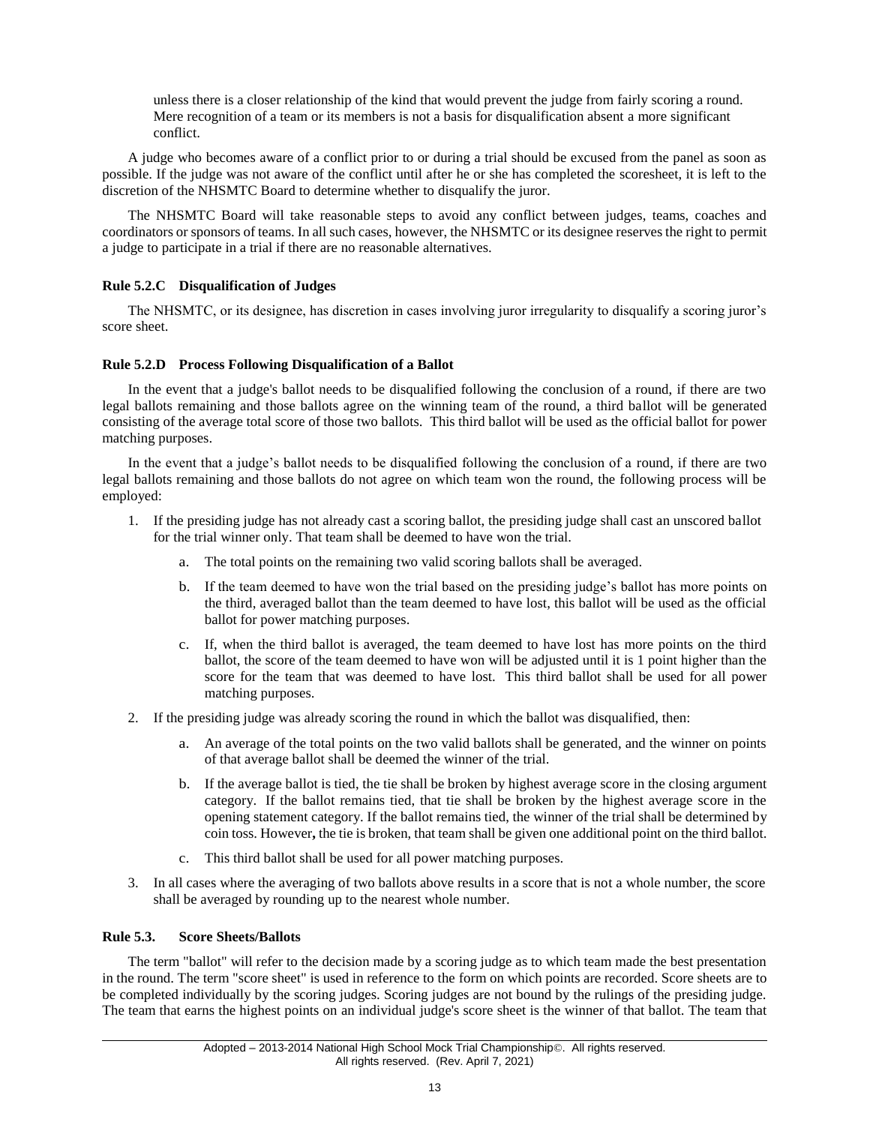unless there is a closer relationship of the kind that would prevent the judge from fairly scoring a round. Mere recognition of a team or its members is not a basis for disqualification absent a more significant conflict.

A judge who becomes aware of a conflict prior to or during a trial should be excused from the panel as soon as possible. If the judge was not aware of the conflict until after he or she has completed the scoresheet, it is left to the discretion of the NHSMTC Board to determine whether to disqualify the juror.

The NHSMTC Board will take reasonable steps to avoid any conflict between judges, teams, coaches and coordinators or sponsors of teams. In all such cases, however, the NHSMTC or its designee reserves the right to permit a judge to participate in a trial if there are no reasonable alternatives.

## <span id="page-14-0"></span>**Rule 5.2.C Disqualification of Judges**

The NHSMTC, or its designee, has discretion in cases involving juror irregularity to disqualify a scoring juror's score sheet.

## <span id="page-14-1"></span>**Rule 5.2.D Process Following Disqualification of a Ballot**

In the event that a judge's ballot needs to be disqualified following the conclusion of a round, if there are two legal ballots remaining and those ballots agree on the winning team of the round, a third ballot will be generated consisting of the average total score of those two ballots. This third ballot will be used as the official ballot for power matching purposes.

In the event that a judge's ballot needs to be disqualified following the conclusion of a round, if there are two legal ballots remaining and those ballots do not agree on which team won the round, the following process will be employed:

- 1. If the presiding judge has not already cast a scoring ballot, the presiding judge shall cast an unscored ballot for the trial winner only. That team shall be deemed to have won the trial.
	- a. The total points on the remaining two valid scoring ballots shall be averaged.
	- b. If the team deemed to have won the trial based on the presiding judge's ballot has more points on the third, averaged ballot than the team deemed to have lost, this ballot will be used as the official ballot for power matching purposes.
	- c. If, when the third ballot is averaged, the team deemed to have lost has more points on the third ballot, the score of the team deemed to have won will be adjusted until it is 1 point higher than the score for the team that was deemed to have lost. This third ballot shall be used for all power matching purposes.
- 2. If the presiding judge was already scoring the round in which the ballot was disqualified, then:
	- a. An average of the total points on the two valid ballots shall be generated, and the winner on points of that average ballot shall be deemed the winner of the trial.
	- b. If the average ballot is tied, the tie shall be broken by highest average score in the closing argument category. If the ballot remains tied, that tie shall be broken by the highest average score in the opening statement category. If the ballot remains tied, the winner of the trial shall be determined by coin toss. However**,** the tie is broken, that team shall be given one additional point on the third ballot.
	- c. This third ballot shall be used for all power matching purposes.
- 3. In all cases where the averaging of two ballots above results in a score that is not a whole number, the score shall be averaged by rounding up to the nearest whole number.

## <span id="page-14-2"></span>**Rule 5.3. Score Sheets/Ballots**

The term "ballot" will refer to the decision made by a scoring judge as to which team made the best presentation in the round. The term "score sheet" is used in reference to the form on which points are recorded. Score sheets are to be completed individually by the scoring judges. Scoring judges are not bound by the rulings of the presiding judge. The team that earns the highest points on an individual judge's score sheet is the winner of that ballot. The team that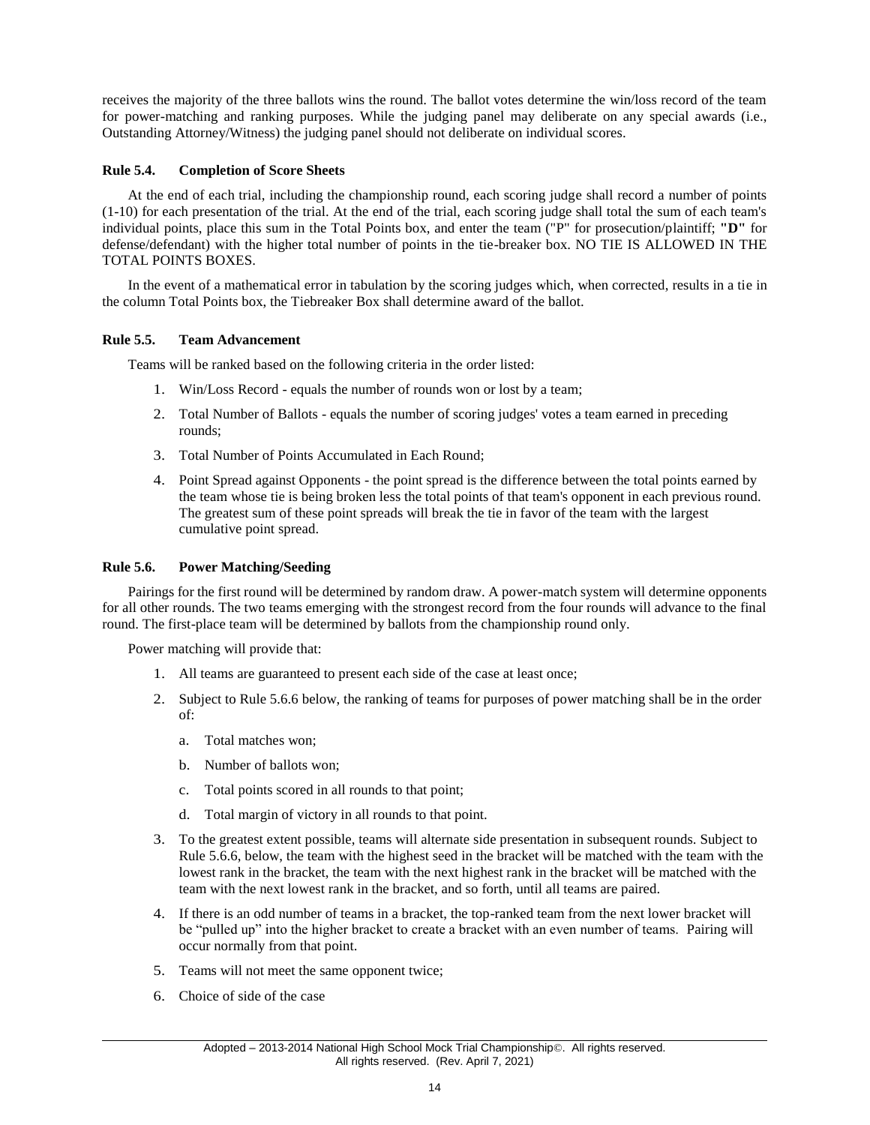receives the majority of the three ballots wins the round. The ballot votes determine the win/loss record of the team for power-matching and ranking purposes. While the judging panel may deliberate on any special awards (i.e., Outstanding Attorney/Witness) the judging panel should not deliberate on individual scores.

#### <span id="page-15-0"></span>**Rule 5.4. Completion of Score Sheets**

At the end of each trial, including the championship round, each scoring judge shall record a number of points (1-10) for each presentation of the trial. At the end of the trial, each scoring judge shall total the sum of each team's individual points, place this sum in the Total Points box, and enter the team ("P" for prosecution/plaintiff; **"D"** for defense/defendant) with the higher total number of points in the tie-breaker box. NO TIE IS ALLOWED IN THE TOTAL POINTS BOXES.

In the event of a mathematical error in tabulation by the scoring judges which, when corrected, results in a tie in the column Total Points box, the Tiebreaker Box shall determine award of the ballot.

#### <span id="page-15-1"></span>**Rule 5.5. Team Advancement**

Teams will be ranked based on the following criteria in the order listed:

- 1. Win/Loss Record equals the number of rounds won or lost by a team;
- 2. Total Number of Ballots equals the number of scoring judges' votes a team earned in preceding rounds;
- 3. Total Number of Points Accumulated in Each Round;
- 4. Point Spread against Opponents the point spread is the difference between the total points earned by the team whose tie is being broken less the total points of that team's opponent in each previous round. The greatest sum of these point spreads will break the tie in favor of the team with the largest cumulative point spread.

#### <span id="page-15-2"></span>**Rule 5.6. Power Matching/Seeding**

Pairings for the first round will be determined by random draw. A power-match system will determine opponents for all other rounds. The two teams emerging with the strongest record from the four rounds will advance to the final round. The first-place team will be determined by ballots from the championship round only.

Power matching will provide that:

- 1. All teams are guaranteed to present each side of the case at least once;
- 2. Subject to Rule 5.6.6 below, the ranking of teams for purposes of power matching shall be in the order of:
	- a. Total matches won;
	- b. Number of ballots won;
	- c. Total points scored in all rounds to that point;
	- d. Total margin of victory in all rounds to that point.
- 3. To the greatest extent possible, teams will alternate side presentation in subsequent rounds. Subject to Rule 5.6.6, below, the team with the highest seed in the bracket will be matched with the team with the lowest rank in the bracket, the team with the next highest rank in the bracket will be matched with the team with the next lowest rank in the bracket, and so forth, until all teams are paired.
- 4. If there is an odd number of teams in a bracket, the top-ranked team from the next lower bracket will be "pulled up" into the higher bracket to create a bracket with an even number of teams. Pairing will occur normally from that point.
- 5. Teams will not meet the same opponent twice;
- 6. Choice of side of the case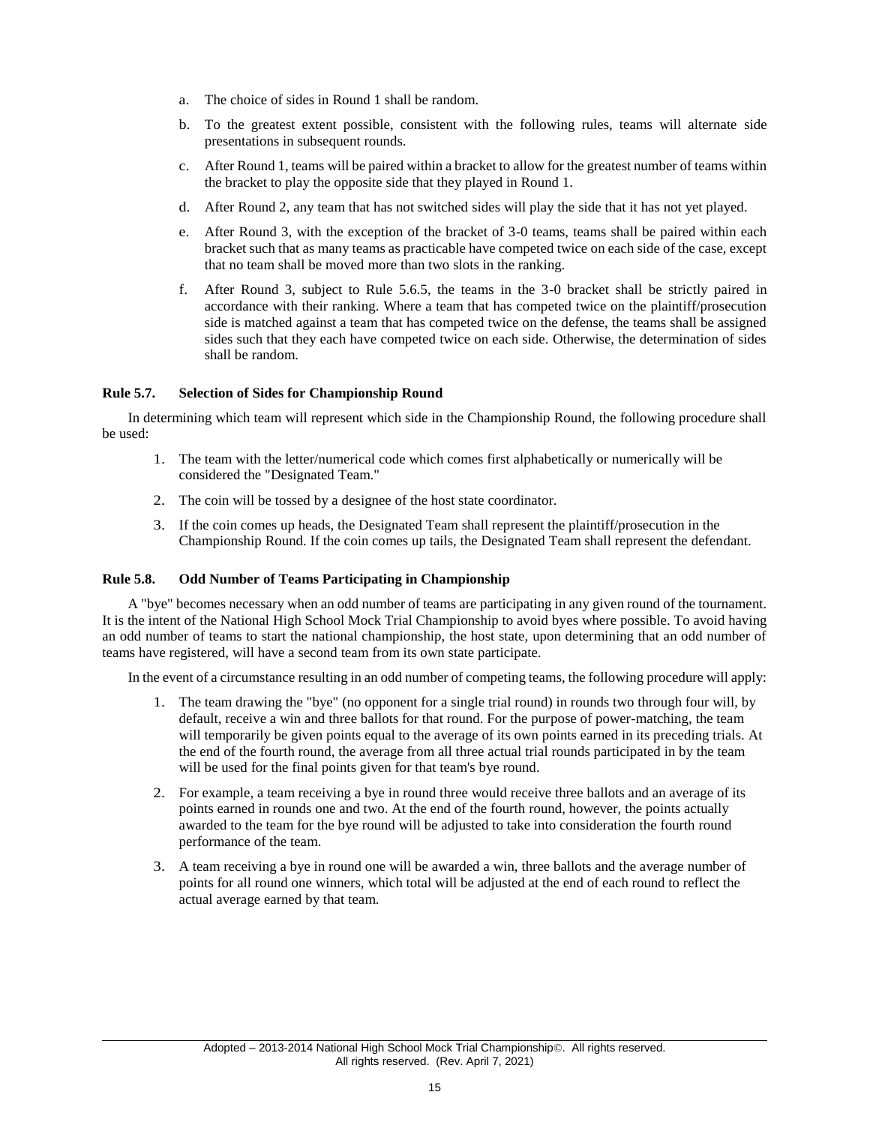- a. The choice of sides in Round 1 shall be random.
- b. To the greatest extent possible, consistent with the following rules, teams will alternate side presentations in subsequent rounds.
- c. After Round 1, teams will be paired within a bracket to allow for the greatest number of teams within the bracket to play the opposite side that they played in Round 1.
- d. After Round 2, any team that has not switched sides will play the side that it has not yet played.
- e. After Round 3, with the exception of the bracket of 3-0 teams, teams shall be paired within each bracket such that as many teams as practicable have competed twice on each side of the case, except that no team shall be moved more than two slots in the ranking.
- f. After Round 3, subject to Rule 5.6.5, the teams in the 3-0 bracket shall be strictly paired in accordance with their ranking. Where a team that has competed twice on the plaintiff/prosecution side is matched against a team that has competed twice on the defense, the teams shall be assigned sides such that they each have competed twice on each side. Otherwise, the determination of sides shall be random.

## <span id="page-16-0"></span>**Rule 5.7. Selection of Sides for Championship Round**

In determining which team will represent which side in the Championship Round, the following procedure shall be used:

- 1. The team with the letter/numerical code which comes first alphabetically or numerically will be considered the "Designated Team."
- 2. The coin will be tossed by a designee of the host state coordinator.
- 3. If the coin comes up heads, the Designated Team shall represent the plaintiff/prosecution in the Championship Round. If the coin comes up tails, the Designated Team shall represent the defendant.

#### <span id="page-16-1"></span>**Rule 5.8. Odd Number of Teams Participating in Championship**

A "bye" becomes necessary when an odd number of teams are participating in any given round of the tournament. It is the intent of the National High School Mock Trial Championship to avoid byes where possible. To avoid having an odd number of teams to start the national championship, the host state, upon determining that an odd number of teams have registered, will have a second team from its own state participate.

In the event of a circumstance resulting in an odd number of competing teams, the following procedure will apply:

- 1. The team drawing the "bye" (no opponent for a single trial round) in rounds two through four will, by default, receive a win and three ballots for that round. For the purpose of power-matching, the team will temporarily be given points equal to the average of its own points earned in its preceding trials. At the end of the fourth round, the average from all three actual trial rounds participated in by the team will be used for the final points given for that team's bye round.
- 2. For example, a team receiving a bye in round three would receive three ballots and an average of its points earned in rounds one and two. At the end of the fourth round, however, the points actually awarded to the team for the bye round will be adjusted to take into consideration the fourth round performance of the team.
- <span id="page-16-2"></span>3. A team receiving a bye in round one will be awarded a win, three ballots and the average number of points for all round one winners, which total will be adjusted at the end of each round to reflect the actual average earned by that team.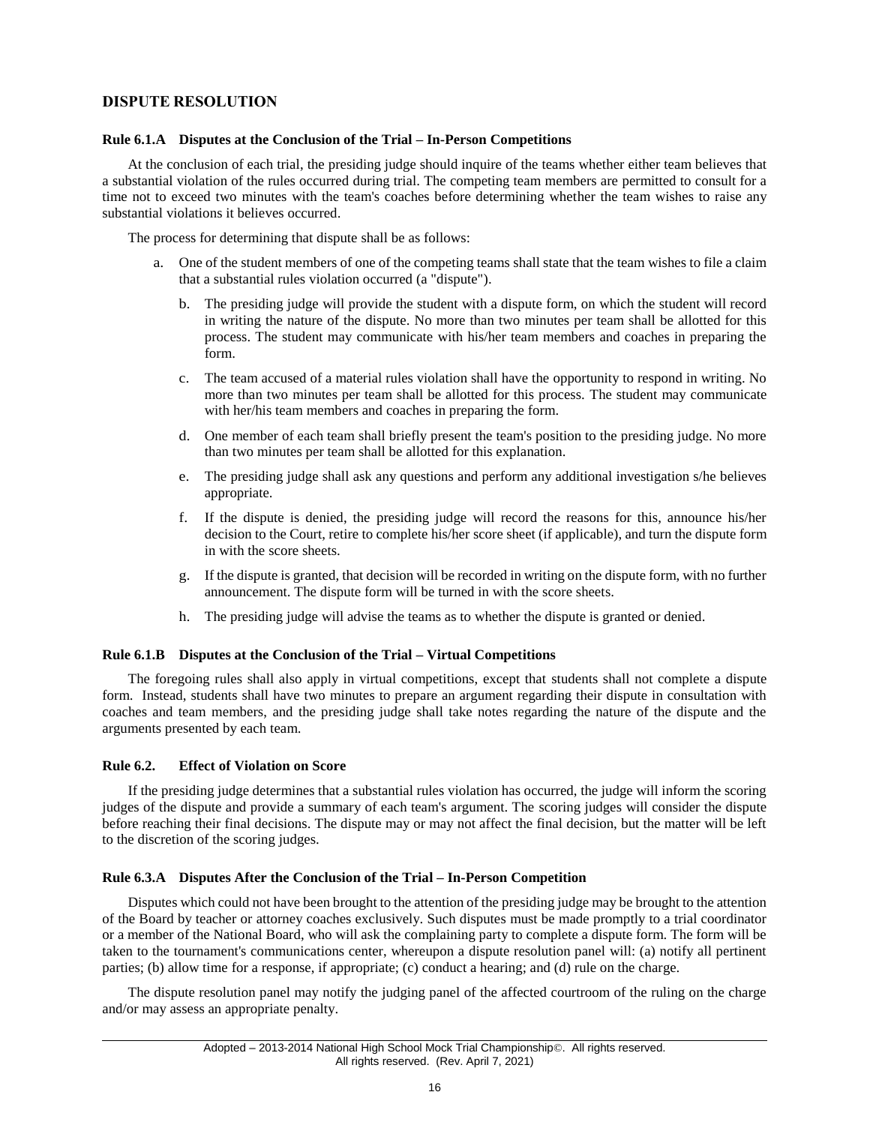# **DISPUTE RESOLUTION**

#### <span id="page-17-0"></span>**Rule 6.1.A Disputes at the Conclusion of the Trial – In-Person Competitions**

At the conclusion of each trial, the presiding judge should inquire of the teams whether either team believes that a substantial violation of the rules occurred during trial. The competing team members are permitted to consult for a time not to exceed two minutes with the team's coaches before determining whether the team wishes to raise any substantial violations it believes occurred.

The process for determining that dispute shall be as follows:

- a. One of the student members of one of the competing teams shall state that the team wishes to file a claim that a substantial rules violation occurred (a "dispute").
	- b. The presiding judge will provide the student with a dispute form, on which the student will record in writing the nature of the dispute. No more than two minutes per team shall be allotted for this process. The student may communicate with his/her team members and coaches in preparing the form.
	- c. The team accused of a material rules violation shall have the opportunity to respond in writing. No more than two minutes per team shall be allotted for this process. The student may communicate with her/his team members and coaches in preparing the form.
	- d. One member of each team shall briefly present the team's position to the presiding judge. No more than two minutes per team shall be allotted for this explanation.
	- e. The presiding judge shall ask any questions and perform any additional investigation s/he believes appropriate.
	- f. If the dispute is denied, the presiding judge will record the reasons for this, announce his/her decision to the Court, retire to complete his/her score sheet (if applicable), and turn the dispute form in with the score sheets.
	- g. If the dispute is granted, that decision will be recorded in writing on the dispute form, with no further announcement. The dispute form will be turned in with the score sheets.
	- h. The presiding judge will advise the teams as to whether the dispute is granted or denied.

#### <span id="page-17-1"></span>**Rule 6.1.B Disputes at the Conclusion of the Trial – Virtual Competitions**

The foregoing rules shall also apply in virtual competitions, except that students shall not complete a dispute form. Instead, students shall have two minutes to prepare an argument regarding their dispute in consultation with coaches and team members, and the presiding judge shall take notes regarding the nature of the dispute and the arguments presented by each team.

#### <span id="page-17-2"></span>**Rule 6.2. Effect of Violation on Score**

If the presiding judge determines that a substantial rules violation has occurred, the judge will inform the scoring judges of the dispute and provide a summary of each team's argument. The scoring judges will consider the dispute before reaching their final decisions. The dispute may or may not affect the final decision, but the matter will be left to the discretion of the scoring judges.

#### <span id="page-17-3"></span>**Rule 6.3.A Disputes After the Conclusion of the Trial – In-Person Competition**

Disputes which could not have been brought to the attention of the presiding judge may be brought to the attention of the Board by teacher or attorney coaches exclusively. Such disputes must be made promptly to a trial coordinator or a member of the National Board, who will ask the complaining party to complete a dispute form. The form will be taken to the tournament's communications center, whereupon a dispute resolution panel will: (a) notify all pertinent parties; (b) allow time for a response, if appropriate; (c) conduct a hearing; and (d) rule on the charge.

The dispute resolution panel may notify the judging panel of the affected courtroom of the ruling on the charge and/or may assess an appropriate penalty.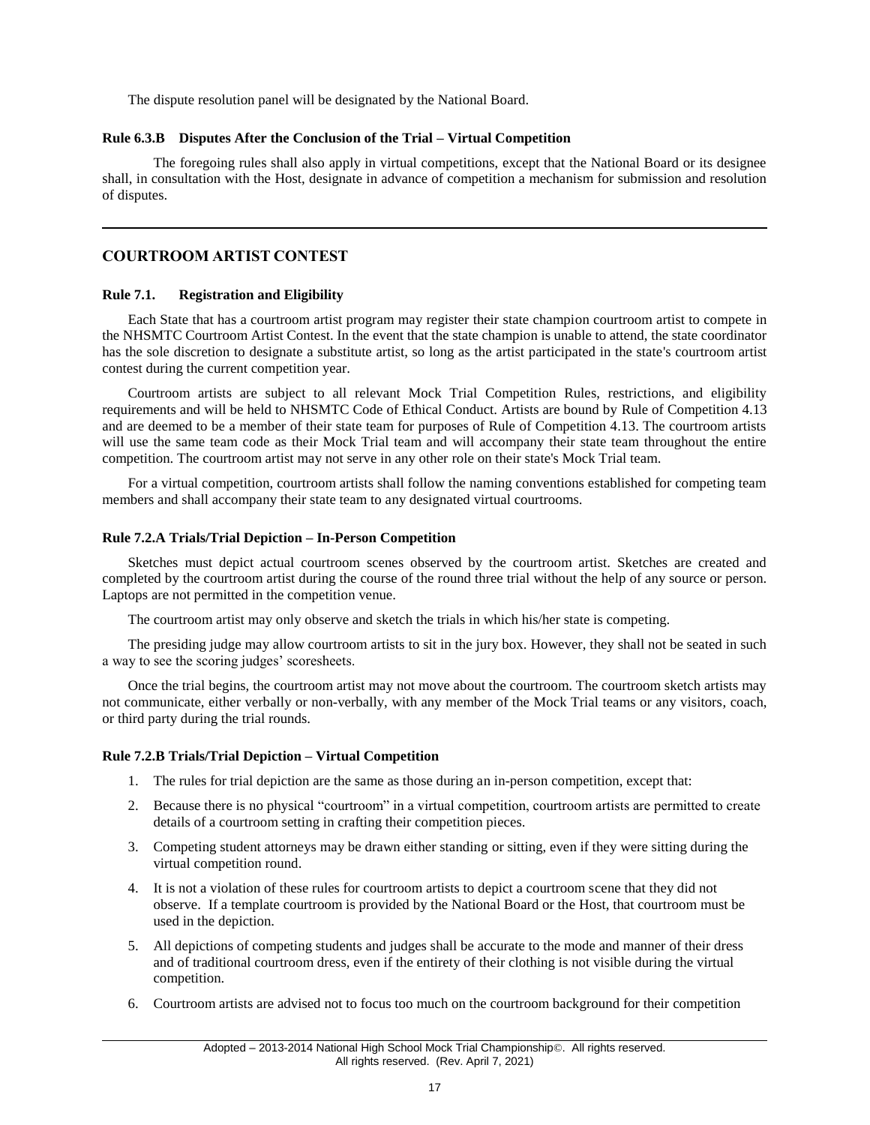The dispute resolution panel will be designated by the National Board.

#### <span id="page-18-0"></span>**Rule 6.3.B Disputes After the Conclusion of the Trial – Virtual Competition**

The foregoing rules shall also apply in virtual competitions, except that the National Board or its designee shall, in consultation with the Host, designate in advance of competition a mechanism for submission and resolution of disputes.

# <span id="page-18-1"></span>**COURTROOM ARTIST CONTEST**

#### <span id="page-18-2"></span>**Rule 7.1. Registration and Eligibility**

Each State that has a courtroom artist program may register their state champion courtroom artist to compete in the NHSMTC Courtroom Artist Contest. In the event that the state champion is unable to attend, the state coordinator has the sole discretion to designate a substitute artist, so long as the artist participated in the state's courtroom artist contest during the current competition year.

Courtroom artists are subject to all relevant Mock Trial Competition Rules, restrictions, and eligibility requirements and will be held to NHSMTC Code of Ethical Conduct. Artists are bound by Rule of Competition 4.13 and are deemed to be a member of their state team for purposes of Rule of Competition 4.13. The courtroom artists will use the same team code as their Mock Trial team and will accompany their state team throughout the entire competition. The courtroom artist may not serve in any other role on their state's Mock Trial team.

For a virtual competition, courtroom artists shall follow the naming conventions established for competing team members and shall accompany their state team to any designated virtual courtrooms.

#### <span id="page-18-3"></span>**Rule 7.2.A Trials/Trial Depiction – In-Person Competition**

Sketches must depict actual courtroom scenes observed by the courtroom artist. Sketches are created and completed by the courtroom artist during the course of the round three trial without the help of any source or person. Laptops are not permitted in the competition venue.

The courtroom artist may only observe and sketch the trials in which his/her state is competing.

The presiding judge may allow courtroom artists to sit in the jury box. However, they shall not be seated in such a way to see the scoring judges' scoresheets.

Once the trial begins, the courtroom artist may not move about the courtroom. The courtroom sketch artists may not communicate, either verbally or non-verbally, with any member of the Mock Trial teams or any visitors, coach, or third party during the trial rounds.

## <span id="page-18-4"></span>**Rule 7.2.B Trials/Trial Depiction – Virtual Competition**

- 1. The rules for trial depiction are the same as those during an in-person competition, except that:
- 2. Because there is no physical "courtroom" in a virtual competition, courtroom artists are permitted to create details of a courtroom setting in crafting their competition pieces.
- 3. Competing student attorneys may be drawn either standing or sitting, even if they were sitting during the virtual competition round.
- 4. It is not a violation of these rules for courtroom artists to depict a courtroom scene that they did not observe. If a template courtroom is provided by the National Board or the Host, that courtroom must be used in the depiction.
- 5. All depictions of competing students and judges shall be accurate to the mode and manner of their dress and of traditional courtroom dress, even if the entirety of their clothing is not visible during the virtual competition.
- 6. Courtroom artists are advised not to focus too much on the courtroom background for their competition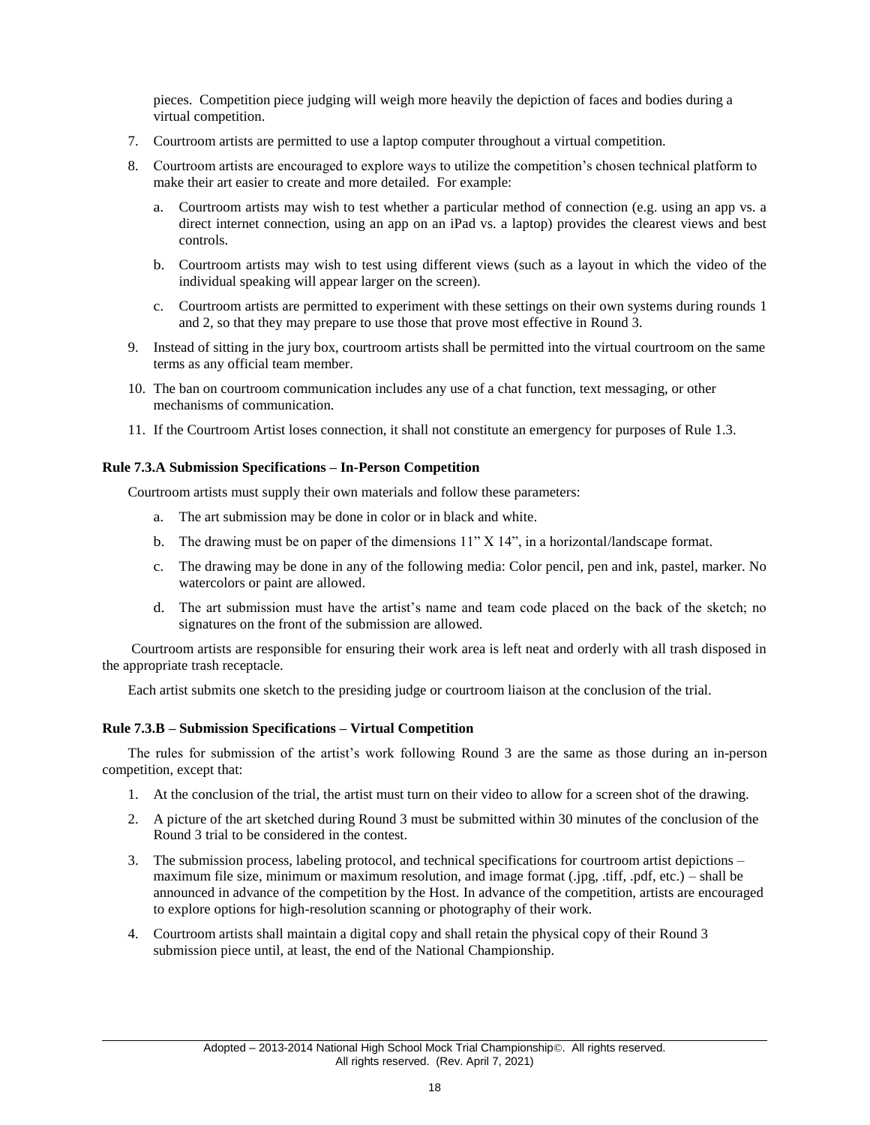pieces. Competition piece judging will weigh more heavily the depiction of faces and bodies during a virtual competition.

- 7. Courtroom artists are permitted to use a laptop computer throughout a virtual competition.
- 8. Courtroom artists are encouraged to explore ways to utilize the competition's chosen technical platform to make their art easier to create and more detailed. For example:
	- a. Courtroom artists may wish to test whether a particular method of connection (e.g. using an app vs. a direct internet connection, using an app on an iPad vs. a laptop) provides the clearest views and best controls.
	- b. Courtroom artists may wish to test using different views (such as a layout in which the video of the individual speaking will appear larger on the screen).
	- c. Courtroom artists are permitted to experiment with these settings on their own systems during rounds 1 and 2, so that they may prepare to use those that prove most effective in Round 3.
- 9. Instead of sitting in the jury box, courtroom artists shall be permitted into the virtual courtroom on the same terms as any official team member.
- 10. The ban on courtroom communication includes any use of a chat function, text messaging, or other mechanisms of communication.
- 11. If the Courtroom Artist loses connection, it shall not constitute an emergency for purposes of Rule 1.3.

#### <span id="page-19-0"></span>**Rule 7.3.A Submission Specifications – In-Person Competition**

Courtroom artists must supply their own materials and follow these parameters:

- a. The art submission may be done in color or in black and white.
- b. The drawing must be on paper of the dimensions 11" X 14", in a horizontal/landscape format.
- c. The drawing may be done in any of the following media: Color pencil, pen and ink, pastel, marker. No watercolors or paint are allowed.
- d. The art submission must have the artist's name and team code placed on the back of the sketch; no signatures on the front of the submission are allowed.

Courtroom artists are responsible for ensuring their work area is left neat and orderly with all trash disposed in the appropriate trash receptacle.

Each artist submits one sketch to the presiding judge or courtroom liaison at the conclusion of the trial.

#### <span id="page-19-1"></span>**Rule 7.3.B – Submission Specifications – Virtual Competition**

The rules for submission of the artist's work following Round 3 are the same as those during an in-person competition, except that:

- 1. At the conclusion of the trial, the artist must turn on their video to allow for a screen shot of the drawing.
- 2. A picture of the art sketched during Round 3 must be submitted within 30 minutes of the conclusion of the Round 3 trial to be considered in the contest.
- 3. The submission process, labeling protocol, and technical specifications for courtroom artist depictions maximum file size, minimum or maximum resolution, and image format (.jpg, .tiff, .pdf, etc.) – shall be announced in advance of the competition by the Host. In advance of the competition, artists are encouraged to explore options for high-resolution scanning or photography of their work.
- <span id="page-19-2"></span>4. Courtroom artists shall maintain a digital copy and shall retain the physical copy of their Round 3 submission piece until, at least, the end of the National Championship.